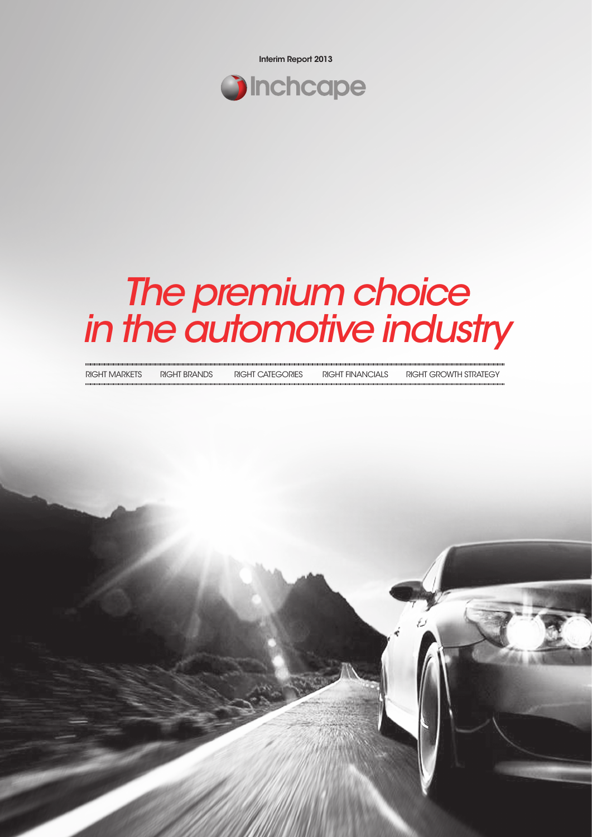Interim Report 2013



# *The premium choice in the automotive industry*

| INVITI MANNLIV | טשואוס ווי ווי ווי | INVIII VAILVVINLU | INULLE LIEVALVULALU | <u>INDITI UNUWILI JINAILUT</u> |
|----------------|--------------------|-------------------|---------------------|--------------------------------|
|                |                    |                   |                     |                                |
|                |                    |                   |                     |                                |
|                |                    |                   |                     |                                |
|                |                    |                   |                     |                                |
|                |                    |                   |                     |                                |
|                |                    |                   |                     |                                |
|                |                    |                   |                     |                                |

Right MARKETS Right Brands Right Categories Right financials Right growth strategy

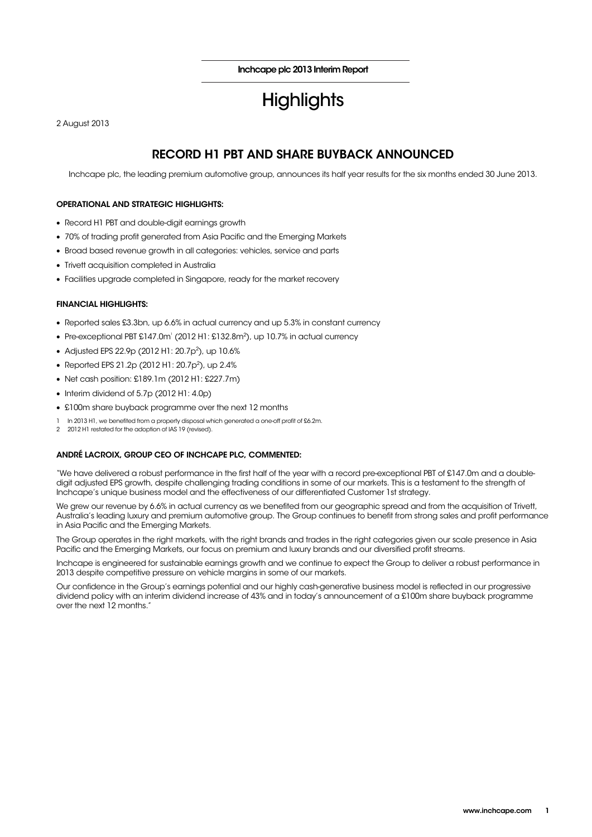Inchcape plc 2013 Interim Report

# **Highlights**

2 August 2013

## RECORD H1 PBT AND SHARE BUYBACK ANNOUNCED

Inchcape plc, the leading premium automotive group, announces its half year results for the six months ended 30 June 2013.

### OPERATIONAL AND STRATEGIC HIGHLIGHTS:

- Record H1 PBT and double-digit earnings growth
- 70% of trading profit generated from Asia Pacific and the Emerging Markets
- Broad based revenue growth in all categories: vehicles, service and parts
- Trivett acquisition completed in Australia
- Facilities upgrade completed in Singapore, ready for the market recovery

### FINANCIAL HIGHLIGHTS:

- Reported sales £3.3bn, up 6.6% in actual currency and up 5.3% in constant currency
- Pre-exceptional PBT £147.0m $^{\circ}$  (2012 H1: £132.8m $^{\circ}$ ), up 10.7% in actual currency
- Adjusted EPS 22.9p (2012 H1: 20.7p<sup>2</sup>), up 10.6%
- Reported EPS 21.2p (2012 H1: 20.7p<sup>2</sup>), up 2.4%
- Net cash position: £189.1m (2012 H1: £227.7m)
- Interim dividend of 5.7p (2012 H1: 4.0p)
- £100m share buyback programme over the next 12 months
- In 2013 H1, we benefited from a property disposal which generated a one-off profit of £6.2m.
- 2 2012 H1 restated for the adoption of IAS 19 (revised).

### ANDRÉ LACROIX, GROUP CEO OF INCHCAPE PLC, COMMENTED:

"We have delivered a robust performance in the first half of the year with a record pre-exceptional PBT of £147.0m and a doubledigit adjusted EPS growth, despite challenging trading conditions in some of our markets. This is a testament to the strength of Inchcape's unique business model and the effectiveness of our differentiated Customer 1st strategy.

We grew our revenue by 6.6% in actual currency as we benefited from our geographic spread and from the acquisition of Trivett, Australia's leading luxury and premium automotive group. The Group continues to benefit from strong sales and profit performance in Asia Pacific and the Emerging Markets.

The Group operates in the right markets, with the right brands and trades in the right categories given our scale presence in Asia Pacific and the Emerging Markets, our focus on premium and luxury brands and our diversified profit streams.

Inchcape is engineered for sustainable earnings growth and we continue to expect the Group to deliver a robust performance in 2013 despite competitive pressure on vehicle margins in some of our markets.

Our confidence in the Group's earnings potential and our highly cash-generative business model is reflected in our progressive dividend policy with an interim dividend increase of 43% and in today's announcement of a £100m share buyback programme over the next 12 months."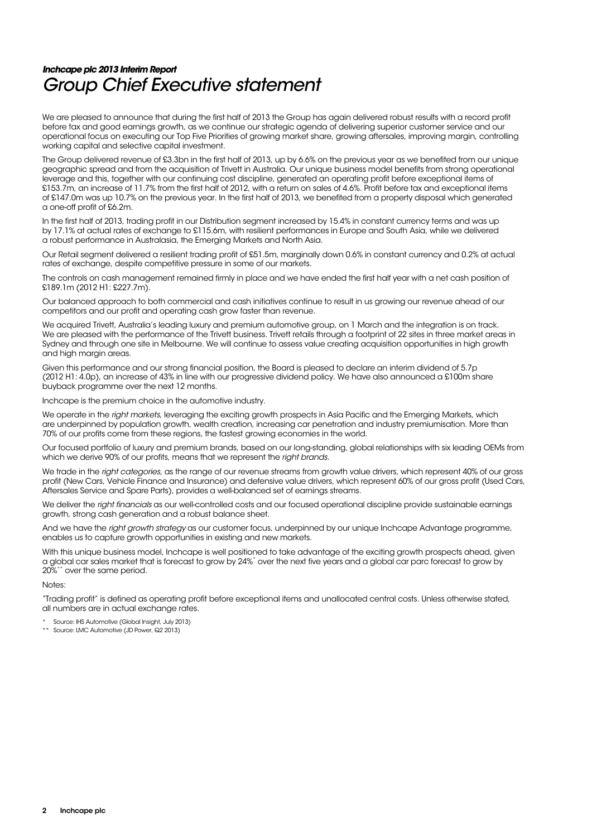# **Inchcape plc 2013 Interim Report**  Group Chief Executive statement

We are pleased to announce that during the first half of 2013 the Group has again delivered robust results with a record profit before tax and good earnings growth, as we continue our strategic agenda of delivering superior customer service and our operational focus on executing our Top Five Priorities of growing market share, growing aftersales, improving margin, controlling working capital and selective capital investment.

The Group delivered revenue of £3.3bn in the first half of 2013, up by 6.6% on the previous year as we benefited from our unique geographic spread and from the acquisition of Trivett in Australia. Our unique business model benefits from strong operational leverage and this, together with our continuing cost discipline, generated an operating profit before exceptional items of £153.7m, an increase of 11.7% from the first half of 2012, with a return on sales of 4.6%. Profit before tax and exceptional items of £147.0m was up 10.7% on the previous year. In the first half of 2013, we benefited from a property disposal which generated a one-off profit of £6.2m.

In the first half of 2013, trading profit in our Distribution segment increased by 15.4% in constant currency terms and was up by 17.1% at actual rates of exchange to £115.6m, with resilient performances in Europe and South Asia, while we delivered a robust performance in Australasia, the Emerging Markets and North Asia.

Our Retail segment delivered a resilient trading profit of £51.5m, marginally down 0.6% in constant currency and 0.2% at actual rates of exchange, despite competitive pressure in some of our markets.

The controls on cash management remained firmly in place and we have ended the first half year with a net cash position of £189.1m (2012 H1: £227.7m).

Our balanced approach to both commercial and cash initiatives continue to result in us growing our revenue ahead of our competitors and our profit and operating cash grow faster than revenue.

We acquired Trivett, Australia's leading luxury and premium automotive group, on 1 March and the integration is on track. We are pleased with the performance of the Trivett business. Trivett retails through a footprint of 22 sites in three market areas in Sydney and through one site in Melbourne. We will continue to assess value creating acquisition opportunities in high growth and high margin areas.

Given this performance and our strong financial position, the Board is pleased to declare an interim dividend of 5.7p (2012 H1: 4.0p), an increase of 43% in line with our progressive dividend policy. We have also announced a £100m share buyback programme over the next 12 months.

Inchcape is the premium choice in the automotive industry.

We operate in the right markets, leveraging the exciting growth prospects in Asia Pacific and the Emerging Markets, which are underpinned by population growth, wealth creation, increasing car penetration and industry premiumisation. More than 70% of our profits come from these regions, the fastest growing economies in the world.

Our focused portfolio of luxury and premium brands, based on our long-standing, global relationships with six leading OEMs from which we derive 90% of our profits, means that we represent the right brands.

We trade in the right categories, as the range of our revenue streams from growth value drivers, which represent 40% of our gross profit (New Cars, Vehicle Finance and Insurance) and defensive value drivers, which represent 60% of our gross profit (Used Cars, Aftersales Service and Spare Parts), provides a well-balanced set of earnings streams.

We deliver the right financials as our well-controlled costs and our focused operational discipline provide sustainable earnings growth, strong cash generation and a robust balance sheet.

And we have the right growth strategy as our customer focus, underpinned by our unique Inchcape Advantage programme, enables us to capture growth opportunities in existing and new markets.

With this unique business model, Inchcape is well positioned to take advantage of the exciting growth prospects ahead, given a global car sales market that is forecast to grow by 24%\* over the next five years and a global car parc forecast to grow by 20%\*\* over the same period.

Notes:

"Trading profit" is defined as operating profit before exceptional items and unallocated central costs. Unless otherwise stated, all numbers are in actual exchange rates.

Source: IHS Automotive (Global Insight, July 2013)

\*\* Source: LMC Automotive (JD Power, Q2 2013)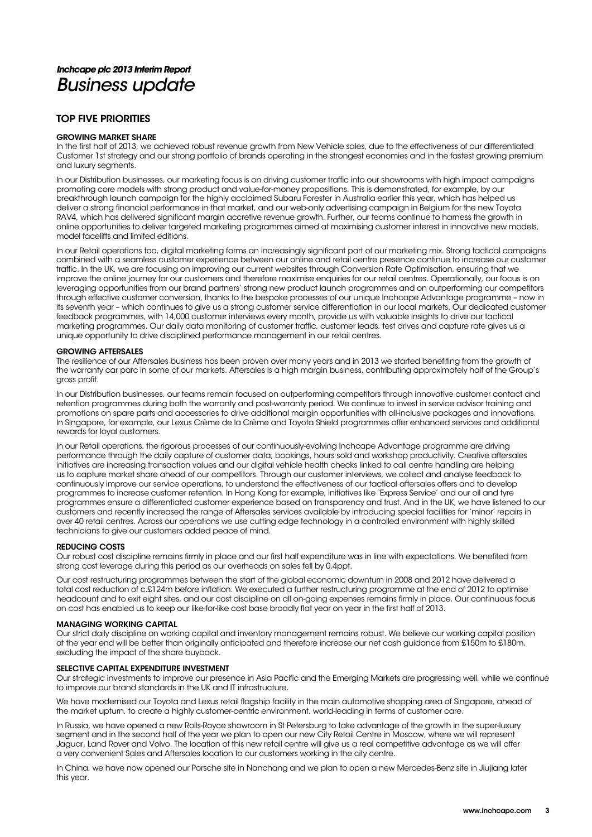# **Inchcape plc 2013 Interim Report**  Business update

### TOP FIVE PRIORITIES

### GROWING MARKET SHARE

In the first half of 2013, we achieved robust revenue growth from New Vehicle sales, due to the effectiveness of our differentiated Customer 1st strategy and our strong portfolio of brands operating in the strongest economies and in the fastest growing premium and luxury segments.

In our Distribution businesses, our marketing focus is on driving customer traffic into our showrooms with high impact campaigns promoting core models with strong product and value-for-money propositions. This is demonstrated, for example, by our breakthrough launch campaign for the highly acclaimed Subaru Forester in Australia earlier this year, which has helped us deliver a strong financial performance in that market, and our web-only advertising campaign in Belgium for the new Toyota RAV4, which has delivered significant margin accretive revenue growth. Further, our teams continue to harness the growth in online opportunities to deliver targeted marketing programmes aimed at maximising customer interest in innovative new models, model facelifts and limited editions.

In our Retail operations too, digital marketing forms an increasingly significant part of our marketing mix. Strong tactical campaigns combined with a seamless customer experience between our online and retail centre presence continue to increase our customer traffic. In the UK, we are focusing on improving our current websites through Conversion Rate Optimisation, ensuring that we improve the online journey for our customers and therefore maximise enquiries for our retail centres. Operationally, our focus is on leveraging opportunities from our brand partners' strong new product launch programmes and on outperforming our competitors through effective customer conversion, thanks to the bespoke processes of our unique Inchcape Advantage programme – now in its seventh year – which continues to give us a strong customer service differentiation in our local markets. Our dedicated customer feedback programmes, with 14,000 customer interviews every month, provide us with valuable insights to drive our tactical marketing programmes. Our daily data monitoring of customer traffic, customer leads, test drives and capture rate gives us a unique opportunity to drive disciplined performance management in our retail centres.

### GROWING AFTERSALES

The resilience of our Aftersales business has been proven over many years and in 2013 we started benefiting from the growth of the warranty car parc in some of our markets. Aftersales is a high margin business, contributing approximately half of the Group's gross profit.

In our Distribution businesses, our teams remain focused on outperforming competitors through innovative customer contact and retention programmes during both the warranty and post-warranty period. We continue to invest in service advisor training and promotions on spare parts and accessories to drive additional margin opportunities with all-inclusive packages and innovations. In Singapore, for example, our Lexus Crème de la Crème and Toyota Shield programmes offer enhanced services and additional rewards for loyal customers.

In our Retail operations, the rigorous processes of our continuously-evolving Inchcape Advantage programme are driving performance through the daily capture of customer data, bookings, hours sold and workshop productivity. Creative aftersales initiatives are increasing transaction values and our digital vehicle health checks linked to call centre handling are helping us to capture market share ahead of our competitors. Through our customer interviews, we collect and analyse feedback to continuously improve our service operations, to understand the effectiveness of our tactical aftersales offers and to develop programmes to increase customer retention. In Hong Kong for example, initiatives like 'Express Service' and our oil and tyre programmes ensure a differentiated customer experience based on transparency and trust. And in the UK, we have listened to our customers and recently increased the range of Aftersales services available by introducing special facilities for 'minor' repairs in over 40 retail centres. Across our operations we use cutting edge technology in a controlled environment with highly skilled technicians to give our customers added peace of mind.

### REDUCING COSTS

Our robust cost discipline remains firmly in place and our first half expenditure was in line with expectations. We benefited from strong cost leverage during this period as our overheads on sales fell by 0.4ppt.

Our cost restructuring programmes between the start of the global economic downturn in 2008 and 2012 have delivered a total cost reduction of c.£124m before inflation. We executed a further restructuring programme at the end of 2012 to optimise headcount and to exit eight sites, and our cost discipline on all on-going expenses remains firmly in place. Our continuous focus on cost has enabled us to keep our like-for-like cost base broadly flat year on year in the first half of 2013.

### MANAGING WORKING CAPITAL

Our strict daily discipline on working capital and inventory management remains robust. We believe our working capital position at the year end will be better than originally anticipated and therefore increase our net cash guidance from £150m to £180m, excluding the impact of the share buyback.

### SELECTIVE CAPITAL EXPENDITURE INVESTMENT

Our strategic investments to improve our presence in Asia Pacific and the Emerging Markets are progressing well, while we continue to improve our brand standards in the UK and IT infrastructure.

We have modernised our Toyota and Lexus retail flagship facility in the main automotive shopping area of Singapore, ahead of the market upturn, to create a highly customer-centric environment, world-leading in terms of customer care.

In Russia, we have opened a new Rolls-Royce showroom in St Petersburg to take advantage of the growth in the super-luxury segment and in the second half of the year we plan to open our new City Retail Centre in Moscow, where we will represent Jaguar, Land Rover and Volvo. The location of this new retail centre will give us a real competitive advantage as we will offer a very convenient Sales and Aftersales location to our customers working in the city centre.

In China, we have now opened our Porsche site in Nanchang and we plan to open a new Mercedes-Benz site in Jiujiang later this year.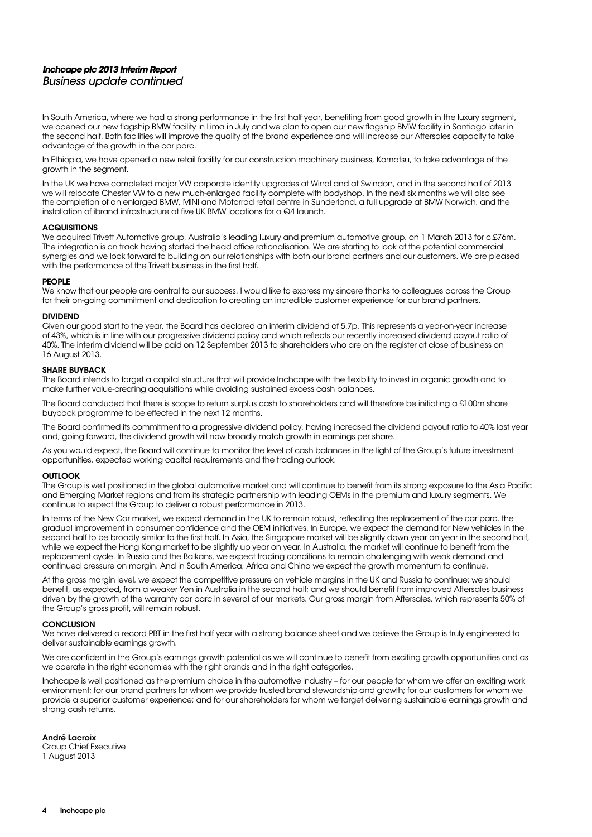### **Inchcape plc 2013 Interim Report**  Business update continued

In South America, where we had a strong performance in the first half year, benefiting from good growth in the luxury segment, we opened our new flagship BMW facility in Lima in July and we plan to open our new flagship BMW facility in Santiago later in the second half. Both facilities will improve the quality of the brand experience and will increase our Aftersales capacity to take advantage of the growth in the car parc.

In Ethiopia, we have opened a new retail facility for our construction machinery business, Komatsu, to take advantage of the growth in the segment.

In the UK we have completed major VW corporate identity upgrades at Wirral and at Swindon, and in the second half of 2013 we will relocate Chester VW to a new much-enlarged facility complete with bodyshop. In the next six months we will also see the completion of an enlarged BMW, MINI and Motorrad retail centre in Sunderland, a full upgrade at BMW Norwich, and the installation of ibrand infrastructure at five UK BMW locations for a Q4 launch.

### **ACQUISITIONS**

We acquired Trivett Automotive group, Australia's leading luxury and premium automotive group, on 1 March 2013 for c.\$76m. The integration is on track having started the head office rationalisation. We are starting to look at the potential commercial synergies and we look forward to building on our relationships with both our brand partners and our customers. We are pleased with the performance of the Trivett business in the first half.

#### PEOPLE

We know that our people are central to our success. I would like to express my sincere thanks to colleagues across the Group for their on-going commitment and dedication to creating an incredible customer experience for our brand partners.

#### DIVIDEND

Given our good start to the year, the Board has declared an interim dividend of 5.7p. This represents a year-on-year increase of 43%, which is in line with our progressive dividend policy and which reflects our recently increased dividend payout ratio of 40%. The interim dividend will be paid on 12 September 2013 to shareholders who are on the register at close of business on 16 August 2013.

### SHARE BUYBACK

The Board intends to target a capital structure that will provide Inchcape with the flexibility to invest in organic growth and to make further value-creating acquisitions while avoiding sustained excess cash balances.

The Board concluded that there is scope to return surplus cash to shareholders and will therefore be initiating a £100m share buyback programme to be effected in the next 12 months.

The Board confirmed its commitment to a progressive dividend policy, having increased the dividend payout ratio to 40% last year and, going forward, the dividend growth will now broadly match growth in earnings per share.

As you would expect, the Board will continue to monitor the level of cash balances in the light of the Group's future investment opportunities, expected working capital requirements and the trading outlook.

### **OUTLOOK**

The Group is well positioned in the global automotive market and will continue to benefit from its strong exposure to the Asia Pacific and Emerging Market regions and from its strategic partnership with leading OEMs in the premium and luxury segments. We continue to expect the Group to deliver a robust performance in 2013.

In terms of the New Car market, we expect demand in the UK to remain robust, reflecting the replacement of the car parc, the gradual improvement in consumer confidence and the OEM initiatives. In Europe, we expect the demand for New vehicles in the second half to be broadly similar to the first half. In Asia, the Singapore market will be slightly down year on year in the second half, while we expect the Hong Kong market to be slightly up year on year. In Australia, the market will continue to benefit from the replacement cycle. In Russia and the Balkans, we expect trading conditions to remain challenging with weak demand and continued pressure on margin. And in South America, Africa and China we expect the growth momentum to continue.

At the gross margin level, we expect the competitive pressure on vehicle margins in the UK and Russia to continue; we should benefit, as expected, from a weaker Yen in Australia in the second half; and we should benefit from improved Aftersales business driven by the growth of the warranty car parc in several of our markets. Our gross margin from Aftersales, which represents 50% of the Group's gross profit, will remain robust.

### **CONCLUSION**

We have delivered a record PBT in the first half year with a strong balance sheet and we believe the Group is truly engineered to deliver sustainable earnings growth.

We are confident in the Group's earnings growth potential as we will continue to benefit from exciting growth opportunities and as we operate in the right economies with the right brands and in the right categories.

Inchcape is well positioned as the premium choice in the automotive industry – for our people for whom we offer an exciting work environment; for our brand partners for whom we provide trusted brand stewardship and growth; for our customers for whom we provide a superior customer experience; and for our shareholders for whom we target delivering sustainable earnings growth and strong cash returns.

André Lacroix

Group Chief Executive 1 August 2013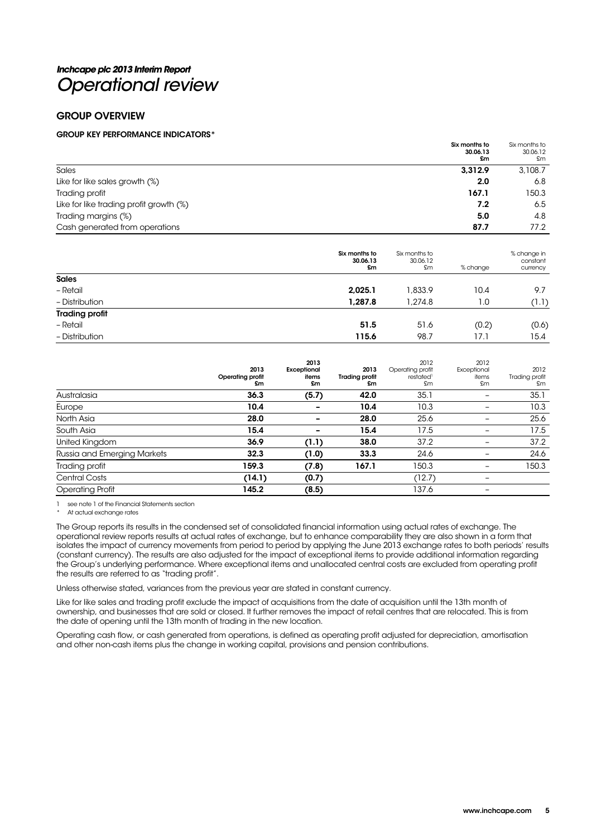# **Inchcape plc 2013 Interim Report**  Operational review

### GROUP OVERVIEW

### GROUP KEY PERFORMANCE INDICATORS\*

| Six months to<br>30.06.13                      | Six months to<br>30.06.12<br>£m<br>£m |
|------------------------------------------------|---------------------------------------|
| Sales<br>3.312.9                               | 3,108.7                               |
| Like for like sales growth (%)<br>2.0          | 6.8                                   |
| 167.1<br>Trading profit                        | 150.3                                 |
| Like for like trading profit growth (%)<br>7.2 | 6.5                                   |
| Trading margins (%)<br>5.0                     | 4.8                                   |
| Cash generated from operations<br>87.7         | 77.2                                  |

|                       | Six months to<br>30.06.13<br>£m | Six months to<br>30.06.12<br>£m | % change | % change in<br>constant<br>currency |
|-----------------------|---------------------------------|---------------------------------|----------|-------------------------------------|
| <b>Sales</b>          |                                 |                                 |          |                                     |
| - Retail              | 2,025.1                         | 1,833.9                         | 10.4     | 9.7                                 |
| - Distribution        | 1,287.8                         | 1,274.8                         | 1.0      | (1.1)                               |
| <b>Trading profit</b> |                                 |                                 |          |                                     |
| - Retail              | 51.5                            | 51.6                            | (0.2)    | (0.6)                               |
| - Distribution        | 115.6                           | 98.7                            | 17.1     | 15.4                                |

|                             | 2013<br>Operating profit<br>£m | 2013<br>Exceptional<br>items<br>£m | 2013<br><b>Trading profit</b><br>£m | 2012<br>Operating profit<br>restated <sup>1</sup><br>£m | 2012<br>Exceptional<br>items<br>£m | 2012<br>Trading profit<br>£m |
|-----------------------------|--------------------------------|------------------------------------|-------------------------------------|---------------------------------------------------------|------------------------------------|------------------------------|
| Australasia                 | 36.3                           | (5.7)                              | 42.0                                | 35.1                                                    |                                    | 35.1                         |
| Europe                      | 10.4                           |                                    | 10.4                                | 10.3                                                    |                                    | 10.3                         |
| North Asia                  | 28.0                           |                                    | 28.0                                | 25.6                                                    |                                    | 25.6                         |
| South Asia                  | 15.4                           |                                    | 15.4                                | 17.5                                                    |                                    | 17.5                         |
| United Kingdom              | 36.9                           | (1.1)                              | 38.0                                | 37.2                                                    |                                    | 37.2                         |
| Russia and Emerging Markets | 32.3                           | (1.0)                              | 33.3                                | 24.6                                                    |                                    | 24.6                         |
| Trading profit              | 159.3                          | (7.8)                              | 167.1                               | 150.3                                                   |                                    | 150.3                        |
| Central Costs               | (14.1)                         | (0.7)                              |                                     | (12.7)                                                  | -                                  |                              |
| <b>Operating Profit</b>     | 145.2                          | (8.5)                              |                                     | 137.6                                                   |                                    |                              |

see note 1 of the Financial Statements section

At actual exchange rates

The Group reports its results in the condensed set of consolidated financial information using actual rates of exchange. The operational review reports results at actual rates of exchange, but to enhance comparability they are also shown in a form that isolates the impact of currency movements from period to period by applying the June 2013 exchange rates to both periods' results (constant currency). The results are also adjusted for the impact of exceptional items to provide additional information regarding the Group's underlying performance. Where exceptional items and unallocated central costs are excluded from operating profit the results are referred to as "trading profit".

Unless otherwise stated, variances from the previous year are stated in constant currency.

Like for like sales and trading profit exclude the impact of acquisitions from the date of acquisition until the 13th month of ownership, and businesses that are sold or closed. It further removes the impact of retail centres that are relocated. This is from the date of opening until the 13th month of trading in the new location.

Operating cash flow, or cash generated from operations, is defined as operating profit adjusted for depreciation, amortisation and other non-cash items plus the change in working capital, provisions and pension contributions.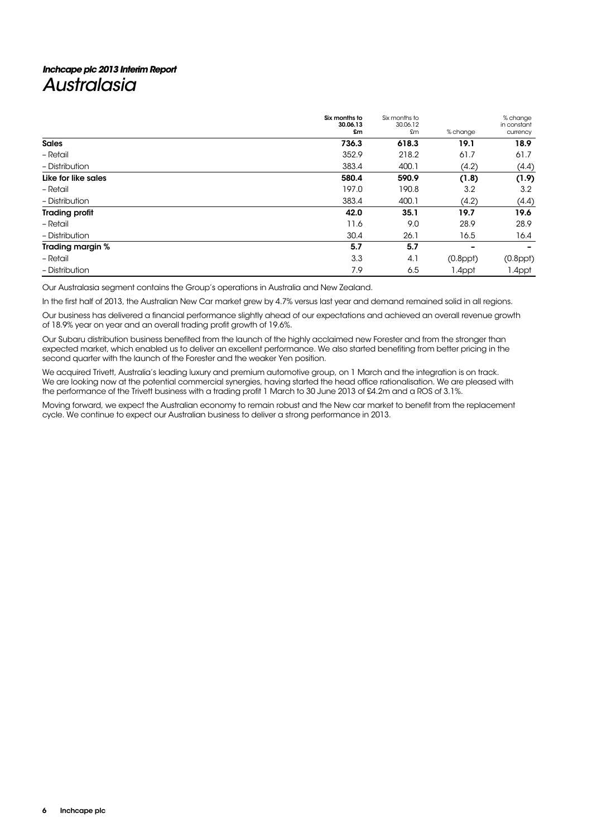# **Inchcape plc 2013 Interim Report Australasia**

|                       | Six months to<br>30.06.13<br>£m | Six months to<br>30.06.12<br>£m | % change                 | % change<br>in constant<br>currency |
|-----------------------|---------------------------------|---------------------------------|--------------------------|-------------------------------------|
| <b>Sales</b>          | 736.3                           | 618.3                           | 19.1                     | 18.9                                |
| - Retail              | 352.9                           | 218.2                           | 61.7                     | 61.7                                |
| - Distribution        | 383.4                           | 400.1                           | (4.2)                    | (4.4)                               |
| Like for like sales   | 580.4                           | 590.9                           | (1.8)                    | (1.9)                               |
| - Retail              | 197.0                           | 190.8                           | 3.2                      | 3.2                                 |
| - Distribution        | 383.4                           | 400.1                           | (4.2)                    | (4.4)                               |
| <b>Trading profit</b> | 42.0                            | 35.1                            | 19.7                     | 19.6                                |
| - Retail              | 11.6                            | 9.0                             | 28.9                     | 28.9                                |
| - Distribution        | 30.4                            | 26.1                            | 16.5                     | 16.4                                |
| Trading margin %      | 5.7                             | 5.7                             | $\overline{\phantom{0}}$ |                                     |
| - Retail              | 3.3                             | 4.1                             | $(0.8$ ppt $)$           | $(0.8$ ppt $)$                      |
| - Distribution        | 7.9                             | 6.5                             | 1.4ppt                   | 1.4ppt                              |

Our Australasia segment contains the Group's operations in Australia and New Zealand.

In the first half of 2013, the Australian New Car market grew by 4.7% versus last year and demand remained solid in all regions.

Our business has delivered a financial performance slightly ahead of our expectations and achieved an overall revenue growth of 18.9% year on year and an overall trading profit growth of 19.6%.

Our Subaru distribution business benefited from the launch of the highly acclaimed new Forester and from the stronger than expected market, which enabled us to deliver an excellent performance. We also started benefiting from better pricing in the second quarter with the launch of the Forester and the weaker Yen position.

We acquired Trivett, Australia's leading luxury and premium automotive group, on 1 March and the integration is on track. We are looking now at the potential commercial synergies, having started the head office rationalisation. We are pleased with the performance of the Trivett business with a trading profit 1 March to 30 June 2013 of £4.2m and a ROS of 3.1%.

Moving forward, we expect the Australian economy to remain robust and the New car market to benefit from the replacement cycle. We continue to expect our Australian business to deliver a strong performance in 2013.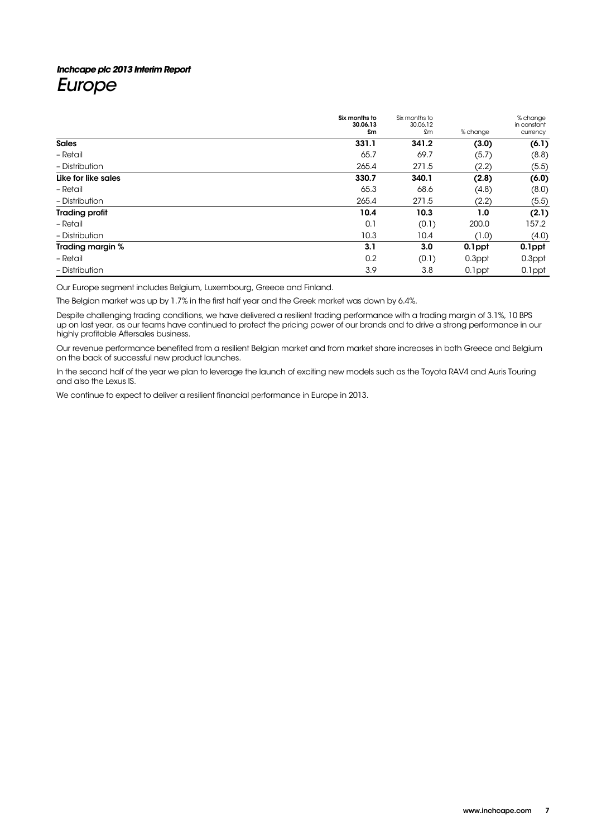# **Inchcape plc 2013 Interim Report**  Europe

|                       | Six months to<br>30.06.13 | Six months to<br>30.06.12 |          | % change<br>in constant |
|-----------------------|---------------------------|---------------------------|----------|-------------------------|
|                       | £m                        | £m                        | % change | currency                |
| <b>Sales</b>          | 331.1                     | 341.2                     | (3.0)    | (6.1)                   |
| - Retail              | 65.7                      | 69.7                      | (5.7)    | (8.8)                   |
| - Distribution        | 265.4                     | 271.5                     | (2.2)    | (5.5)                   |
| Like for like sales   | 330.7                     | 340.1                     | (2.8)    | (6.0)                   |
| - Retail              | 65.3                      | 68.6                      | (4.8)    | (8.0)                   |
| - Distribution        | 265.4                     | 271.5                     | (2.2)    | (5.5)                   |
| <b>Trading profit</b> | 10.4                      | 10.3                      | 1.0      | (2.1)                   |
| - Retail              | 0.1                       | (0.1)                     | 200.0    | 157.2                   |
| - Distribution        | 10.3                      | 10.4                      | (1.0)    | (4.0)                   |
| Trading margin %      | 3.1                       | 3.0                       | 0.1ppt   | 0.1ppt                  |
| - Retail              | 0.2                       | (0.1)                     | 0.3ppt   | 0.3ppt                  |
| - Distribution        | 3.9                       | 3.8                       | 0.1ppt   | 0.1ppt                  |

Our Europe segment includes Belgium, Luxembourg, Greece and Finland.

The Belgian market was up by 1.7% in the first half year and the Greek market was down by 6.4%.

Despite challenging trading conditions, we have delivered a resilient trading performance with a trading margin of 3.1%, 10 BPS up on last year, as our teams have continued to protect the pricing power of our brands and to drive a strong performance in our highly profitable Aftersales business.

Our revenue performance benefited from a resilient Belgian market and from market share increases in both Greece and Belgium on the back of successful new product launches.

In the second half of the year we plan to leverage the launch of exciting new models such as the Toyota RAV4 and Auris Touring and also the Lexus IS.

We continue to expect to deliver a resilient financial performance in Europe in 2013.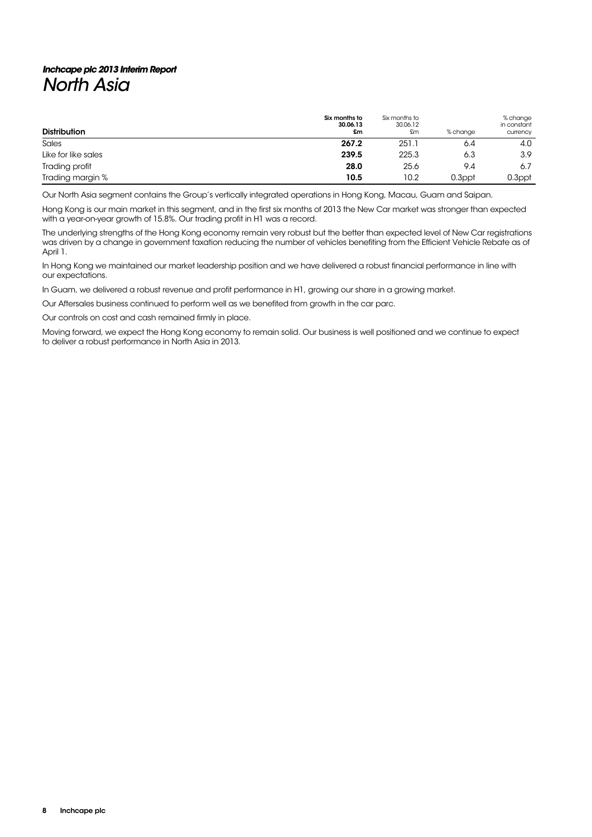# **Inchcape plc 2013 Interim Report**  North Asia

| <b>Distribution</b> | Six months to<br>30.06.13<br>£m | Six months to<br>30.06.12<br>£m | % change | % change<br>in constant<br>currency |
|---------------------|---------------------------------|---------------------------------|----------|-------------------------------------|
| Sales               | 267.2                           | 251.1                           | 6.4      | 4.0                                 |
| Like for like sales | 239.5                           | 225.3                           | 6.3      | 3.9                                 |
| Trading profit      | 28.0                            | 25.6                            | 9.4      | 6.7                                 |
| Trading margin %    | 10.5                            | 10.2                            | 0.3ppt   | 0.3ppt                              |

Our North Asia segment contains the Group's vertically integrated operations in Hong Kong, Macau, Guam and Saipan.

Hong Kong is our main market in this segment, and in the first six months of 2013 the New Car market was stronger than expected with a year-on-year growth of 15.8%. Our trading profit in H1 was a record.

The underlying strengths of the Hong Kong economy remain very robust but the better than expected level of New Car registrations was driven by a change in government taxation reducing the number of vehicles benefiting from the Efficient Vehicle Rebate as of April 1.

In Hong Kong we maintained our market leadership position and we have delivered a robust financial performance in line with our expectations.

In Guam, we delivered a robust revenue and profit performance in H1, growing our share in a growing market.

Our Aftersales business continued to perform well as we benefited from growth in the car parc.

Our controls on cost and cash remained firmly in place.

Moving forward, we expect the Hong Kong economy to remain solid. Our business is well positioned and we continue to expect to deliver a robust performance in North Asia in 2013.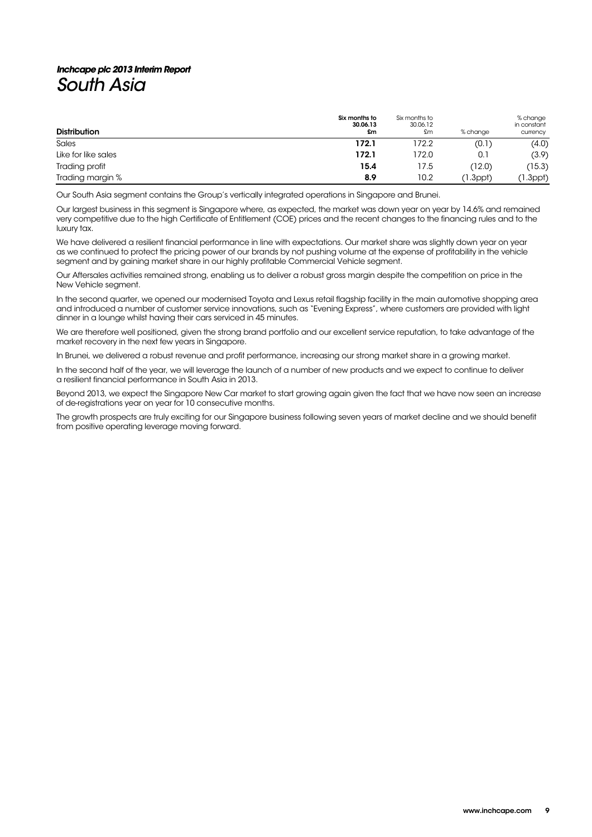# **Inchcape plc 2013 Interim Report**  South Asia

| <b>Distribution</b> | Six months to<br>30.06.13<br>£m | Six months to<br>30.06.12<br>£m | % change       | % change<br>in constant<br>currency |
|---------------------|---------------------------------|---------------------------------|----------------|-------------------------------------|
| Sales               | 172.1                           | 172.2                           | (0.1)          | (4.0)                               |
| Like for like sales | 172.1                           | 172.0                           | 0.1            | (3.9)                               |
| Trading profit      | 15.4                            | 17.5                            | (12.0)         | (15.3)                              |
| Trading margin %    | 8.9                             | 10.2                            | $(1.3$ ppt $)$ | (1.3ppt)                            |

Our South Asia segment contains the Group's vertically integrated operations in Singapore and Brunei.

Our largest business in this segment is Singapore where, as expected, the market was down year on year by 14.6% and remained very competitive due to the high Certificate of Entitlement (COE) prices and the recent changes to the financing rules and to the luxury tax.

We have delivered a resilient financial performance in line with expectations. Our market share was slightly down year on year as we continued to protect the pricing power of our brands by not pushing volume at the expense of profitability in the vehicle segment and by gaining market share in our highly profitable Commercial Vehicle segment.

Our Aftersales activities remained strong, enabling us to deliver a robust gross margin despite the competition on price in the New Vehicle segment.

In the second quarter, we opened our modernised Toyota and Lexus retail flagship facility in the main automotive shopping area and introduced a number of customer service innovations, such as "Evening Express", where customers are provided with light dinner in a lounge whilst having their cars serviced in 45 minutes.

We are therefore well positioned, given the strong brand portfolio and our excellent service reputation, to take advantage of the market recovery in the next few years in Singapore.

In Brunei, we delivered a robust revenue and profit performance, increasing our strong market share in a growing market.

In the second half of the year, we will leverage the launch of a number of new products and we expect to continue to deliver a resilient financial performance in South Asia in 2013.

Beyond 2013, we expect the Singapore New Car market to start growing again given the fact that we have now seen an increase of de-registrations year on year for 10 consecutive months.

The growth prospects are truly exciting for our Singapore business following seven years of market decline and we should benefit from positive operating leverage moving forward.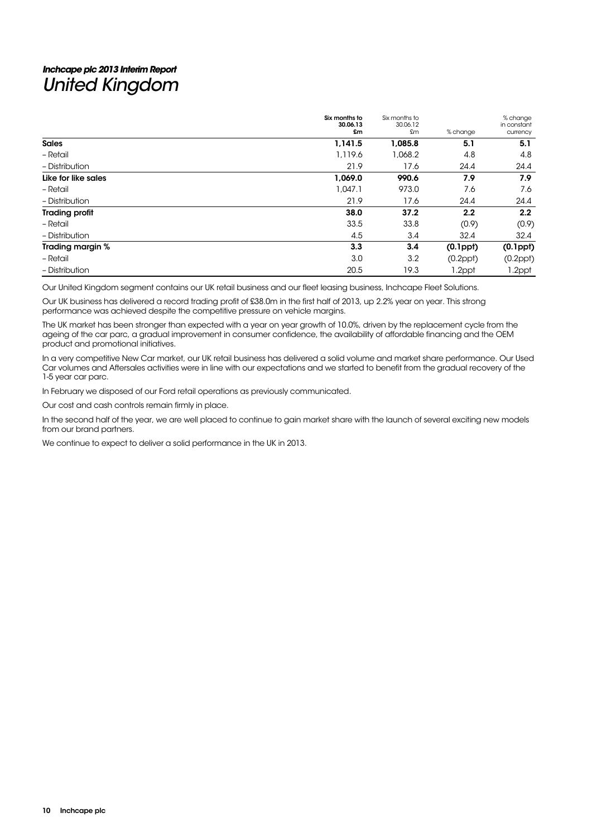# **Inchcape plc 2013 Interim Report**  United Kingdom

|                       | Six months to<br>30.06.13<br>£m | Six months to<br>30.06.12<br>£m | % change       | % change<br>in constant<br>currency |
|-----------------------|---------------------------------|---------------------------------|----------------|-------------------------------------|
| <b>Sales</b>          | 1,141.5                         | 1.085.8                         | 5.1            | 5.1                                 |
| - Retail              | 1,119.6                         | 1,068.2                         | 4.8            | 4.8                                 |
| - Distribution        | 21.9                            | 17.6                            | 24.4           | 24.4                                |
| Like for like sales   | 1,069.0                         | 990.6                           | 7.9            | 7.9                                 |
| - Retail              | 1,047.1                         | 973.0                           | 7.6            | 7.6                                 |
| - Distribution        | 21.9                            | 17.6                            | 24.4           | 24.4                                |
| <b>Trading profit</b> | 38.0                            | 37.2                            | 2.2            | 2.2                                 |
| - Retail              | 33.5                            | 33.8                            | (0.9)          | (0.9)                               |
| - Distribution        | 4.5                             | 3.4                             | 32.4           | 32.4                                |
| Trading margin %      | 3.3                             | 3.4                             | $(0.1$ ppł $)$ | $(0.1$ ppł $)$                      |
| - Retail              | 3.0                             | 3.2                             | $(0.2$ ppt $)$ | $(0.2$ ppt $)$                      |
| - Distribution        | 20.5                            | 19.3                            | 1.2ppt         | 1.2ppt                              |

Our United Kingdom segment contains our UK retail business and our fleet leasing business, Inchcape Fleet Solutions.

Our UK business has delivered a record trading profit of £38.0m in the first half of 2013, up 2.2% year on year. This strong performance was achieved despite the competitive pressure on vehicle margins.

The UK market has been stronger than expected with a year on year growth of 10.0%, driven by the replacement cycle from the ageing of the car parc, a gradual improvement in consumer confidence, the availability of affordable financing and the OEM product and promotional initiatives.

In a very competitive New Car market, our UK retail business has delivered a solid volume and market share performance. Our Used Car volumes and Aftersales activities were in line with our expectations and we started to benefit from the gradual recovery of the 1-5 year car parc.

In February we disposed of our Ford retail operations as previously communicated.

Our cost and cash controls remain firmly in place.

In the second half of the year, we are well placed to continue to gain market share with the launch of several exciting new models from our brand partners.

We continue to expect to deliver a solid performance in the UK in 2013.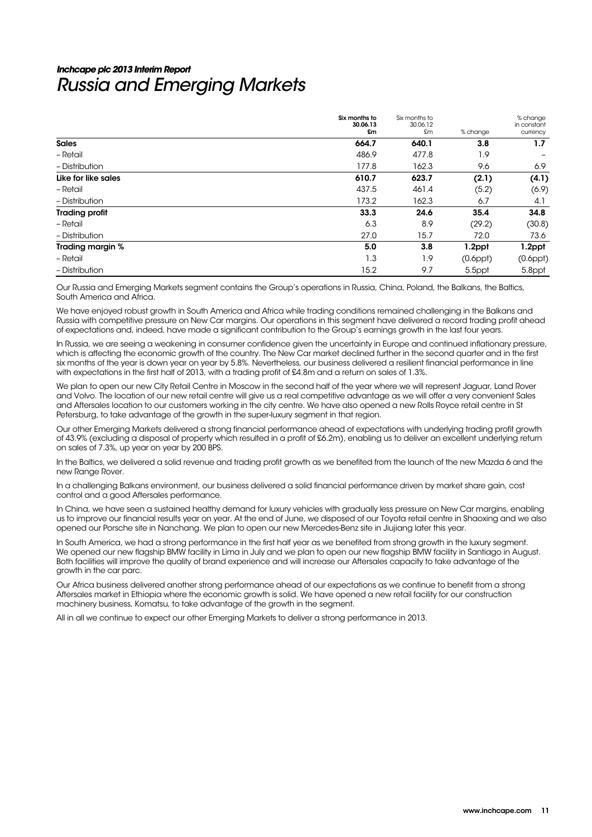# **Inchcape plc 2013 Interim Report**  Russia and Emerging Markets

|                       | Six months to<br>30.06.13<br>£m | Six months to<br>30.06.12<br>£m | % change       | % change<br>in constant<br>currency |
|-----------------------|---------------------------------|---------------------------------|----------------|-------------------------------------|
| <b>Sales</b>          | 664.7                           | 640.1                           | 3.8            | 1.7                                 |
| - Retail              | 486.9                           | 477.8                           | 1.9            |                                     |
| - Distribution        | 177.8                           | 162.3                           | 9.6            | 6.9                                 |
| Like for like sales   | 610.7                           | 623.7                           | (2.1)          | (4.1)                               |
| - Retail              | 437.5                           | 461.4                           | (5.2)          | (6.9)                               |
| - Distribution        | 173.2                           | 162.3                           | 6.7            | 4.1                                 |
| <b>Trading profit</b> | 33.3                            | 24.6                            | 35.4           | 34.8                                |
| - Retail              | 6.3                             | 8.9                             | (29.2)         | (30.8)                              |
| - Distribution        | 27.0                            | 15.7                            | 72.0           | 73.6                                |
| Trading margin %      | 5.0                             | 3.8                             | 1.2ppt         | 1.2ppt                              |
| - Retail              | 1.3                             | 1.9                             | $(0.6$ ppł $)$ | $(0.6$ ppt $)$                      |
| - Distribution        | 15.2                            | 9.7                             | 5.5ppt         | 5.8ppt                              |

Our Russia and Emerging Markets segment contains the Group's operations in Russia, China, Poland, the Balkans, the Baltics, South America and Africa.

We have enjoyed robust growth in South America and Africa while trading conditions remained challenging in the Balkans and Russia with competitive pressure on New Car margins. Our operations in this segment have delivered a record trading profit ahead of expectations and, indeed, have made a significant contribution to the Group's earnings growth in the last four years.

In Russia, we are seeing a weakening in consumer confidence given the uncertainty in Europe and continued inflationary pressure, which is affecting the economic growth of the country. The New Car market declined further in the second quarter and in the first six months of the year is down year on year by 5.8%. Nevertheless, our business delivered a resilient financial performance in line with expectations in the first half of 2013, with a trading profit of £4.8m and a return on sales of 1.3%.

We plan to open our new City Retail Centre in Moscow in the second half of the year where we will represent Jaguar, Land Rover and Volvo. The location of our new retail centre will give us a real competitive advantage as we will offer a very convenient Sales and Aftersales location to our customers working in the city centre. We have also opened a new Rolls Royce retail centre in St Petersburg, to take advantage of the growth in the super-luxury segment in that region.

Our other Emerging Markets delivered a strong financial performance ahead of expectations with underlying trading profit growth of 43.9% (excluding a disposal of property which resulted in a profit of £6.2m), enabling us to deliver an excellent underlying return on sales of 7.3%, up year on year by 200 BPS.

In the Baltics, we delivered a solid revenue and trading profit growth as we benefited from the launch of the new Mazda 6 and the new Range Rover.

In a challenging Balkans environment, our business delivered a solid financial performance driven by market share gain, cost control and a good Aftersales performance.

In China, we have seen a sustained healthy demand for luxury vehicles with gradually less pressure on New Car margins, enabling us to improve our financial results year on year. At the end of June, we disposed of our Toyota retail centre in Shaoxing and we also opened our Porsche site in Nanchang. We plan to open our new Mercedes-Benz site in Jiujiang later this year.

In South America, we had a strong performance in the first half year as we benefited from strong growth in the luxury segment. We opened our new flagship BMW facility in Lima in July and we plan to open our new flagship BMW facility in Santiago in August. Both facilities will improve the quality of brand experience and will increase our Aftersales capacity to take advantage of the growth in the car parc.

Our Africa business delivered another strong performance ahead of our expectations as we continue to benefit from a strong Aftersales market in Ethiopia where the economic growth is solid. We have opened a new retail facility for our construction machinery business, Komatsu, to take advantage of the growth in the segment.

All in all we continue to expect our other Emerging Markets to deliver a strong performance in 2013.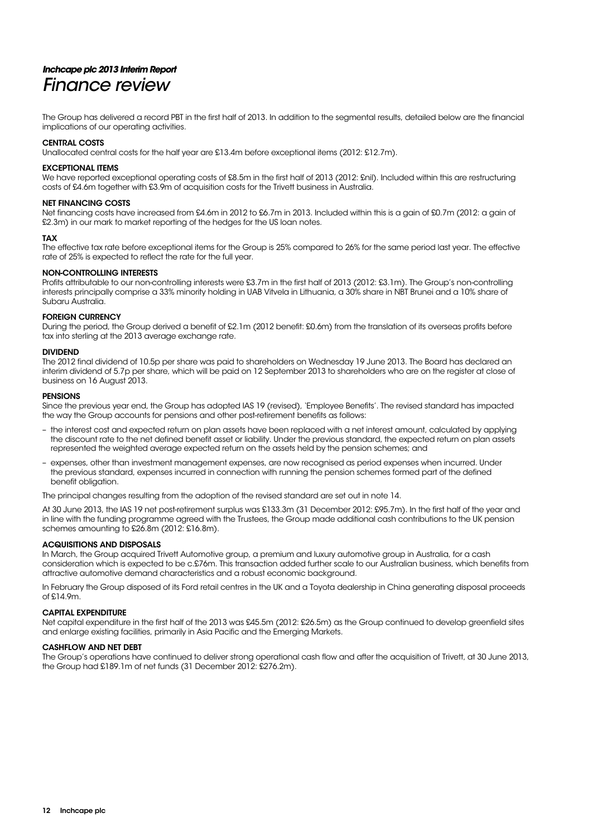# **Inchcape plc 2013 Interim Report**  Finance review

The Group has delivered a record PBT in the first half of 2013. In addition to the segmental results, detailed below are the financial implications of our operating activities.

### CENTRAL COSTS

Unallocated central costs for the half year are £13.4m before exceptional items (2012: £12.7m).

### EXCEPTIONAL ITEMS

We have reported exceptional operating costs of £8.5m in the first half of 2013 (2012: £nil). Included within this are restructuring costs of £4.6m together with £3.9m of acquisition costs for the Trivett business in Australia.

### NET FINANCING COSTS

Net financing costs have increased from £4.6m in 2012 to £6.7m in 2013. Included within this is a gain of £0.7m (2012: a gain of £2.3m) in our mark to market reporting of the hedges for the US loan notes.

### TAX

The effective tax rate before exceptional items for the Group is 25% compared to 26% for the same period last year. The effective rate of 25% is expected to reflect the rate for the full year.

### NON-CONTROLLING INTERESTS

Profits attributable to our non-controlling interests were £3.7m in the first half of 2013 (2012: £3.1m). The Group's non-controlling interests principally comprise a 33% minority holding in UAB Vitvela in Lithuania, a 30% share in NBT Brunei and a 10% share of Subaru Australia.

### FOREIGN CURRENCY

During the period, the Group derived a benefit of £2.1m (2012 benefit: £0.6m) from the translation of its overseas profits before tax into sterling at the 2013 average exchange rate.

### DIVIDEND

The 2012 final dividend of 10.5p per share was paid to shareholders on Wednesday 19 June 2013. The Board has declared an interim dividend of 5.7p per share, which will be paid on 12 September 2013 to shareholders who are on the register at close of business on 16 August 2013.

### **PENSIONS**

Since the previous year end, the Group has adopted IAS 19 (revised), 'Employee Benefits'. The revised standard has impacted the way the Group accounts for pensions and other post-retirement benefits as follows:

- the interest cost and expected return on plan assets have been replaced with a net interest amount, calculated by applying the discount rate to the net defined benefit asset or liability. Under the previous standard, the expected return on plan assets represented the weighted average expected return on the assets held by the pension schemes; and
- expenses, other than investment management expenses, are now recognised as period expenses when incurred. Under the previous standard, expenses incurred in connection with running the pension schemes formed part of the defined benefit obligation.

The principal changes resulting from the adoption of the revised standard are set out in note 14.

At 30 June 2013, the IAS 19 net post-retirement surplus was £133.3m (31 December 2012: £95.7m). In the first half of the year and in line with the funding programme agreed with the Trustees, the Group made additional cash contributions to the UK pension schemes amounting to £26.8m (2012: £16.8m).

### ACQUISITIONS AND DISPOSALS

In March, the Group acquired Trivett Automotive group, a premium and luxury automotive group in Australia, for a cash consideration which is expected to be c.£76m. This transaction added further scale to our Australian business, which benefits from attractive automotive demand characteristics and a robust economic background.

In February the Group disposed of its Ford retail centres in the UK and a Toyota dealership in China generating disposal proceeds of £14.9m.

### CAPITAL EXPENDITURE

Net capital expenditure in the first half of the 2013 was £45.5m (2012: £26.5m) as the Group continued to develop greenfield sites and enlarge existing facilities, primarily in Asia Pacific and the Emerging Markets.

### CASHFLOW AND NET DEBT

The Group's operations have continued to deliver strong operational cash flow and after the acquisition of Trivett, at 30 June 2013, the Group had £189.1m of net funds (31 December 2012: £276.2m).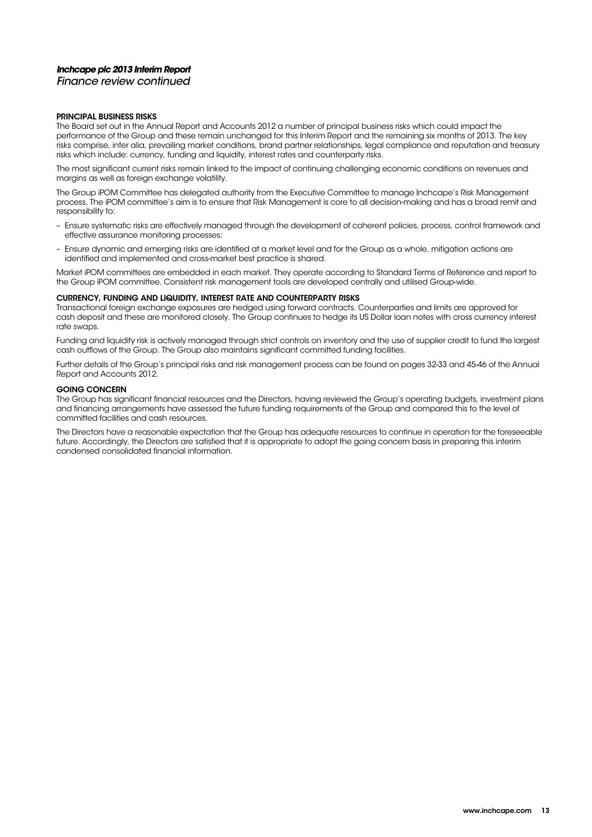# **Inchcape plc 2013 Interim Report**

Finance review continued

### PRINCIPAL BUSINESS RISKS

The Board set out in the Annual Report and Accounts 2012 a number of principal business risks which could impact the performance of the Group and these remain unchanged for this Interim Report and the remaining six months of 2013. The key risks comprise, inter alia, prevailing market conditions, brand partner relationships, legal compliance and reputation and treasury risks which include: currency, funding and liquidity, interest rates and counterparty risks.

The most significant current risks remain linked to the impact of continuing challenging economic conditions on revenues and margins as well as foreign exchange volatility.

The Group iPOM Committee has delegated authority from the Executive Committee to manage Inchcape's Risk Management process. The iPOM committee's aim is to ensure that Risk Management is core to all decision-making and has a broad remit and responsibility to:

- Ensure systematic risks are effectively managed through the development of coherent policies, process, control framework and effective assurance monitoring processes;
- Ensure dynamic and emerging risks are identified at a market level and for the Group as a whole, mitigation actions are identified and implemented and cross-market best practice is shared.

Market iPOM committees are embedded in each market. They operate according to Standard Terms of Reference and report to the Group iPOM committee. Consistent risk management tools are developed centrally and utilised Group-wide.

### CURRENCY, FUNDING AND LIQUIDITY, INTEREST RATE AND COUNTERPARTY RISKS

Transactional foreign exchange exposures are hedged using forward contracts. Counterparties and limits are approved for cash deposit and these are monitored closely. The Group continues to hedge its US Dollar loan notes with cross currency interest rate swaps.

Funding and liquidity risk is actively managed through strict controls on inventory and the use of supplier credit to fund the largest cash outflows of the Group. The Group also maintains significant committed funding facilities.

Further details of the Group's principal risks and risk management process can be found on pages 32-33 and 45-46 of the Annual Report and Accounts 2012.

### GOING CONCERN

The Group has significant financial resources and the Directors, having reviewed the Group's operating budgets, investment plans and financing arrangements have assessed the future funding requirements of the Group and compared this to the level of committed facilities and cash resources.

The Directors have a reasonable expectation that the Group has adequate resources to continue in operation for the foreseeable future. Accordingly, the Directors are satisfied that it is appropriate to adopt the going concern basis in preparing this interim condensed consolidated financial information.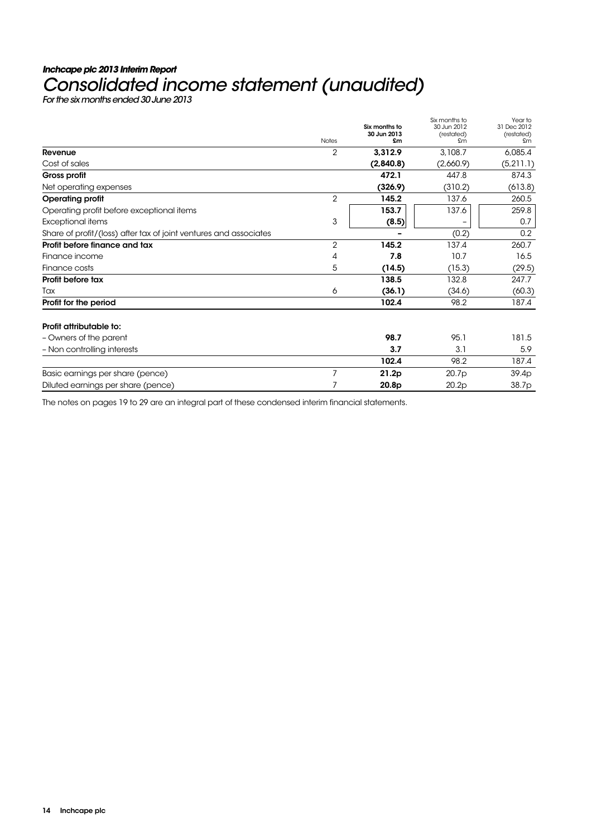# **Inchcape plc 2013 Interim Report**  Consolidated income statement (unaudited)

|                                                                   | <b>Notes</b>   | Six months to<br>30 Jun 2013<br>£m | Six months to<br>30 Jun 2012<br>(restated)<br>£m | Year to<br>31 Dec 2012<br>(restated)<br>£m |
|-------------------------------------------------------------------|----------------|------------------------------------|--------------------------------------------------|--------------------------------------------|
| Revenue                                                           | 2              | 3,312.9                            | 3,108.7                                          | 6,085.4                                    |
| Cost of sales                                                     |                | (2,840.8)                          | (2,660.9)                                        | (5, 211.1)                                 |
| Gross profit                                                      |                | 472.1                              | 447.8                                            | 874.3                                      |
| Net operating expenses                                            |                | (326.9)                            | (310.2)                                          | (613.8)                                    |
| <b>Operating profit</b>                                           | $\overline{2}$ | 145.2                              | 137.6                                            | 260.5                                      |
| Operating profit before exceptional items                         |                | 153.7                              | 137.6                                            | 259.8                                      |
| Exceptional items                                                 | 3              | (8.5)                              |                                                  | 0.7                                        |
| Share of profit/(loss) after tax of joint ventures and associates |                |                                    | (0.2)                                            | 0.2                                        |
| Profit before finance and tax                                     | 2              | 145.2                              | 137.4                                            | 260.7                                      |
| Finance income                                                    | 4              | 7.8                                | 10.7                                             | 16.5                                       |
| Finance costs                                                     | 5              | (14.5)                             | (15.3)                                           | (29.5)                                     |
| Profit before tax                                                 |                | 138.5                              | 132.8                                            | 247.7                                      |
| Tax                                                               | 6              | (36.1)                             | (34.6)                                           | (60.3)                                     |
| Profit for the period                                             |                | 102.4                              | 98.2                                             | 187.4                                      |
| Profit attributable to:                                           |                |                                    |                                                  |                                            |
| - Owners of the parent                                            |                | 98.7                               | 95.1                                             | 181.5                                      |
| - Non controlling interests                                       |                | 3.7                                | 3.1                                              | 5.9                                        |
|                                                                   |                | 102.4                              | 98.2                                             | 187.4                                      |
| Basic earnings per share (pence)                                  | 7              | 21.2p                              | 20.7p                                            | 39.4p                                      |
| Diluted earnings per share (pence)                                | 7              | 20.8p                              | 20.2p                                            | 38.7p                                      |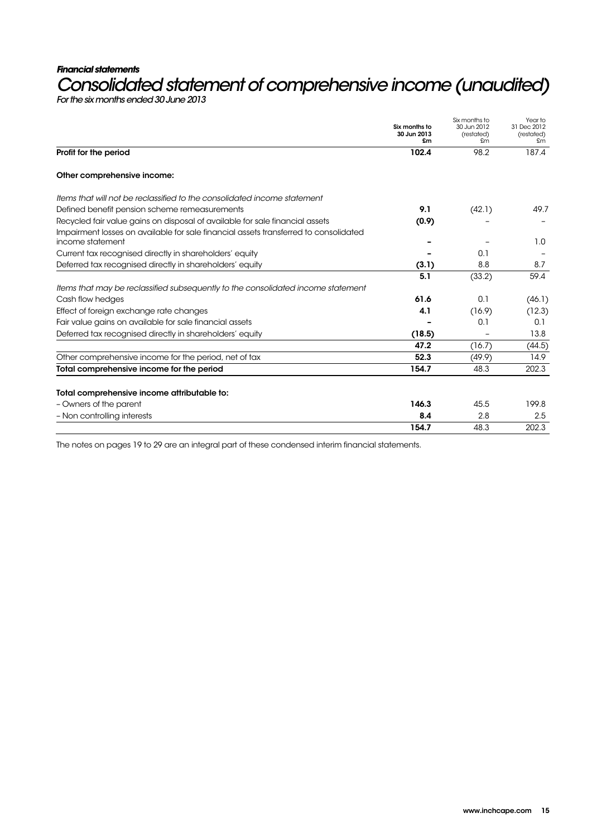### **Financial statements**

# Consolidated statement of comprehensive income (unaudited)<br>For the six months ended 30 June 2013

|                                                                                                          | Six months to<br>30 Jun 2013<br>£m | Six months to<br>30 Jun 2012<br>(restated)<br>£m | Year to<br>31 Dec 2012<br>(restated)<br>£m |
|----------------------------------------------------------------------------------------------------------|------------------------------------|--------------------------------------------------|--------------------------------------------|
| Profit for the period                                                                                    | 102.4                              | 98.2                                             | 187.4                                      |
| Other comprehensive income:                                                                              |                                    |                                                  |                                            |
| Items that will not be reclassified to the consolidated income statement                                 |                                    |                                                  |                                            |
| Defined benefit pension scheme remeasurements                                                            | 9.1                                | (42.1)                                           | 49.7                                       |
| Recycled fair value gains on disposal of available for sale financial assets                             | (0.9)                              |                                                  |                                            |
| Impairment losses on available for sale financial assets transferred to consolidated<br>income statement |                                    |                                                  | 1.0                                        |
| Current tax recognised directly in shareholders' equity                                                  |                                    | 0.1                                              |                                            |
| Deferred tax recognised directly in shareholders' equity                                                 | (3.1)                              | 8.8                                              | 8.7                                        |
|                                                                                                          | 5.1                                | (33.2)                                           | 59.4                                       |
| Items that may be reclassified subsequently to the consolidated income statement                         |                                    |                                                  |                                            |
| Cash flow hedges                                                                                         | 61.6                               | 0.1                                              | (46.1)                                     |
| Effect of foreign exchange rate changes                                                                  | 4.1                                | (16.9)                                           | (12.3)                                     |
| Fair value gains on available for sale financial assets                                                  |                                    | 0.1                                              | 0.1                                        |
| Deferred tax recognised directly in shareholders' equity                                                 | (18.5)                             |                                                  | 13.8                                       |
|                                                                                                          | 47.2                               | (16.7)                                           | (44.5)                                     |
| Other comprehensive income for the period, net of tax                                                    | 52.3                               | (49.9)                                           | 14.9                                       |
| Total comprehensive income for the period                                                                | 154.7                              | 48.3                                             | 202.3                                      |
|                                                                                                          |                                    |                                                  |                                            |
| Total comprehensive income attributable to:                                                              |                                    |                                                  |                                            |
| - Owners of the parent                                                                                   | 146.3                              | 45.5                                             | 199.8                                      |
| - Non controlling interests                                                                              | 8.4                                | 2.8                                              | 2.5                                        |
|                                                                                                          | 154.7                              | 48.3                                             | 202.3                                      |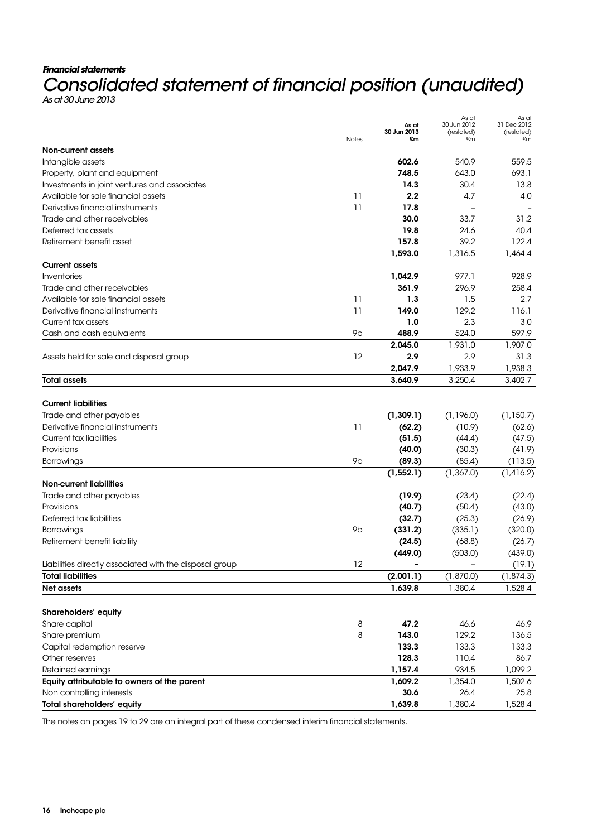### **Financial statements**

# Consolidated statement of financial position (unaudited)

|                                                         | Notes          | As at<br>30 Jun 2013<br>£m | As at<br>30 Jun 2012<br>(restated)<br>£m | As at<br>31 Dec 2012<br>(restated)<br>£m |
|---------------------------------------------------------|----------------|----------------------------|------------------------------------------|------------------------------------------|
| <b>Non-current assets</b>                               |                |                            |                                          |                                          |
| Intangible assets                                       |                | 602.6                      | 540.9                                    | 559.5                                    |
| Property, plant and equipment                           |                | 748.5                      | 643.0                                    | 693.1                                    |
| Investments in joint ventures and associates            |                | 14.3                       | 30.4                                     | 13.8                                     |
| Available for sale financial assets                     | 11             | 2.2                        | 4.7                                      | 4.0                                      |
| Derivative financial instruments                        | 11             | 17.8                       |                                          |                                          |
| Trade and other receivables                             |                | 30.0                       | 33.7                                     | 31.2                                     |
| Deferred tax assets                                     |                | 19.8                       | 24.6                                     | 40.4                                     |
| Retirement benefit asset                                |                | 157.8                      | 39.2                                     | 122.4                                    |
|                                                         |                | 1,593.0                    | 1,316.5                                  | 1,464.4                                  |
| <b>Current assets</b>                                   |                |                            |                                          |                                          |
| Inventories                                             |                | 1,042.9                    | 977.1                                    | 928.9                                    |
| Trade and other receivables                             |                | 361.9                      | 296.9                                    | 258.4                                    |
| Available for sale financial assets                     | 11             | 1.3                        | 1.5                                      | 2.7                                      |
| Derivative financial instruments                        | 11             | 149.0                      | 129.2                                    | 116.1                                    |
| Current tax assets                                      |                | 1.0                        | 2.3                                      | 3.0                                      |
| Cash and cash equivalents                               | 9 <sub>b</sub> | 488.9                      | 524.0                                    | 597.9                                    |
|                                                         |                | 2,045.0                    | 1,931.0                                  | 1,907.0                                  |
| Assets held for sale and disposal group                 | 12             | 2.9                        | 2.9                                      | 31.3                                     |
|                                                         |                | 2,047.9                    | 1,933.9                                  | 1,938.3                                  |
| <b>Total assets</b>                                     |                | 3,640.9                    | 3,250.4                                  | 3,402.7                                  |
| <b>Current liabilities</b>                              |                |                            |                                          |                                          |
| Trade and other payables                                |                | (1, 309.1)                 | (1,196.0)                                | (1, 150.7)                               |
| Derivative financial instruments                        | 11             | (62.2)                     | (10.9)                                   | (62.6)                                   |
| <b>Current tax liabilities</b>                          |                | (51.5)                     | (44.4)                                   | (47.5)                                   |
| Provisions                                              |                | (40.0)                     | (30.3)                                   | (41.9)                                   |
| <b>Borrowings</b>                                       | 9b             | (89.3)                     | (85.4)                                   | (113.5)                                  |
|                                                         |                | (1, 552.1)                 | (1,367.0)                                | (1,416.2)                                |
| <b>Non-current liabilities</b>                          |                |                            |                                          |                                          |
| Trade and other payables                                |                | (19.9)                     | (23.4)                                   | (22.4)                                   |
| Provisions                                              |                | (40.7)                     | (50.4)                                   | (43.0)                                   |
| Deferred tax liabilities                                |                | (32.7)                     | (25.3)                                   | (26.9)                                   |
| Borrowings                                              | 9 <sub>b</sub> | (331.2)                    | (335.1)                                  | (320.0)                                  |
| Retirement benefit liability                            |                | (24.5)                     | (68.8)                                   | (26.7)                                   |
|                                                         |                | (449.0)                    | (503.0)                                  | (439.0)                                  |
| Liabilities directly associated with the disposal group | 12             |                            |                                          | (19.1)                                   |
| <b>Total liabilities</b>                                |                | (2,001.1)                  | (1,870.0)                                | (1, 874.3)                               |
| Net assets                                              |                | 1,639.8                    | 1,380.4                                  | 1,528.4                                  |
|                                                         |                |                            |                                          |                                          |
| Shareholders' equity                                    |                |                            |                                          |                                          |
| Share capital                                           | $\,8\,$        | 47.2                       | 46.6                                     | 46.9                                     |
| Share premium                                           | 8              | 143.0                      | 129.2                                    | 136.5                                    |
| Capital redemption reserve                              |                | 133.3                      | 133.3                                    | 133.3                                    |
| Other reserves                                          |                | 128.3                      | 110.4                                    | 86.7                                     |
| Retained earnings                                       |                | 1,157.4                    | 934.5                                    | 1,099.2                                  |
| Equity attributable to owners of the parent             |                | 1,609.2                    | 1,354.0                                  | 1,502.6                                  |
| Non controlling interests                               |                | 30.6                       | 26.4                                     | 25.8                                     |
| Total shareholders' equity                              |                | 1,639.8                    | 1,380.4                                  | 1,528.4                                  |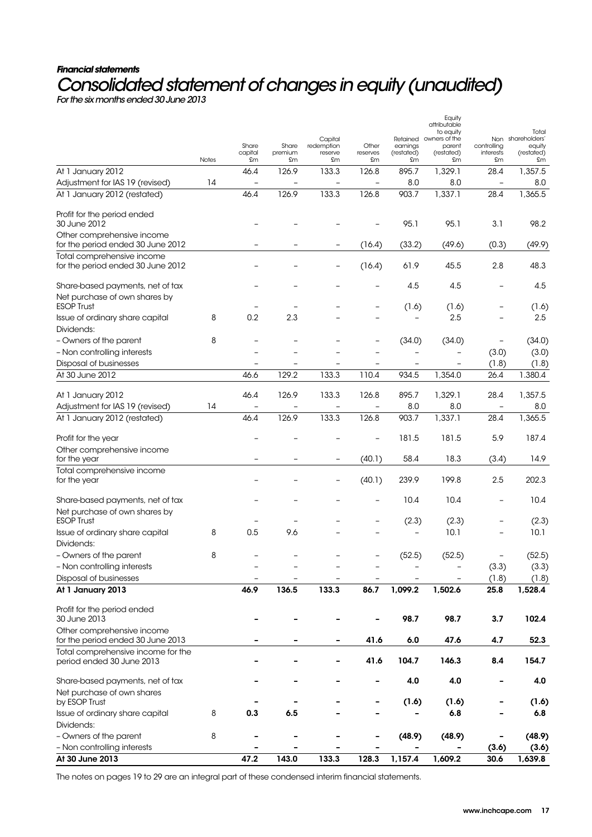# **Financial statements**  Consolidated statement of changes in equity (unaudited)

For the six months ended 30 June 2013

|                                                                   |       |                          |               |                       |                          |                   | Equity<br>attributable           |                          |                             |
|-------------------------------------------------------------------|-------|--------------------------|---------------|-----------------------|--------------------------|-------------------|----------------------------------|--------------------------|-----------------------------|
|                                                                   |       |                          |               |                       |                          |                   | to equity                        |                          | Total                       |
|                                                                   |       | Share                    | Share         | Capital<br>redemption | Other                    | earnings          | Retained owners of the<br>parent | controlling              | Non shareholders'<br>equity |
|                                                                   | Notes | capital<br>£m            | premium<br>£m | reserve<br>£m         | reserves<br>£m           | (restated)<br>£m  | (restated)<br>£m                 | interests<br>£m          | (restated)<br>£m            |
| At 1 January 2012                                                 |       | 46.4                     | 126.9         | 133.3                 | 126.8                    | 895.7             | 1,329.1                          | 28.4                     | 1,357.5                     |
| Adjustment for IAS 19 (revised)                                   | 14    |                          |               |                       |                          | 8.0               | 8.0                              | $\qquad \qquad -$        | 8.0                         |
| At 1 January 2012 (restated)                                      |       | 46.4                     | 126.9         | 133.3                 | 126.8                    | 903.7             | 1,337.1                          | 28.4                     | 1,365.5                     |
|                                                                   |       |                          |               |                       |                          |                   |                                  |                          |                             |
| Profit for the period ended<br>30 June 2012                       |       |                          |               |                       |                          | 95.1              | 95.1                             | 3.1                      | 98.2                        |
| Other comprehensive income                                        |       |                          |               |                       |                          |                   |                                  |                          |                             |
| for the period ended 30 June 2012                                 |       |                          |               |                       | (16.4)                   | (33.2)            | (49.6)                           | (0.3)                    | (49.9)                      |
| Total comprehensive income<br>for the period ended 30 June 2012   |       |                          |               |                       | (16.4)                   | 61.9              | 45.5                             | 2.8                      | 48.3                        |
|                                                                   |       |                          |               |                       |                          |                   |                                  |                          |                             |
| Share-based payments, net of tax<br>Net purchase of own shares by |       |                          |               |                       |                          | 4.5               | 4.5                              | -                        | 4.5                         |
| <b>ESOP Trust</b>                                                 |       |                          |               |                       |                          | (1.6)             | (1.6)                            |                          | (1.6)                       |
| Issue of ordinary share capital<br>Dividends:                     | 8     | 0.2                      | 2.3           |                       |                          |                   | 2.5                              |                          | 2.5                         |
| - Owners of the parent                                            | 8     |                          |               |                       |                          | (34.0)            | (34.0)                           | $\overline{\phantom{a}}$ | (34.0)                      |
| - Non controlling interests                                       |       |                          |               |                       |                          |                   |                                  | (3.0)                    | (3.0)                       |
| Disposal of businesses                                            |       | -                        |               |                       | -                        | $\qquad \qquad -$ | $\qquad \qquad -$                | (1.8)                    | (1.8)                       |
| At 30 June 2012                                                   |       | 46.6                     | 129.2         | 133.3                 | 110.4                    | 934.5             | 1,354.0                          | 26.4                     | 1.380.4                     |
| At 1 January 2012                                                 |       | 46.4                     | 126.9         | 133.3                 | 126.8                    | 895.7             | 1,329.1                          | 28.4                     | 1,357.5                     |
| Adjustment for IAS 19 (revised)                                   | 14    | $\overline{\phantom{0}}$ |               |                       | $\overline{\phantom{a}}$ | 8.0               | 8.0                              | $\qquad \qquad -$        | 8.0                         |
| At 1 January 2012 (restated)                                      |       | 46.4                     | 126.9         | 133.3                 | 126.8                    | 903.7             | 1,337.1                          | 28.4                     | 1,365.5                     |
|                                                                   |       |                          |               |                       |                          |                   |                                  |                          |                             |
| Profit for the year                                               |       |                          |               |                       |                          | 181.5             | 181.5                            | 5.9                      | 187.4                       |
| Other comprehensive income                                        |       |                          |               |                       |                          |                   |                                  |                          |                             |
| for the year                                                      |       |                          |               |                       | (40.1)                   | 58.4              | 18.3                             | (3.4)                    | 14.9                        |
| Total comprehensive income<br>for the year                        |       |                          |               |                       | (40.1)                   | 239.9             | 199.8                            | 2.5                      | 202.3                       |
|                                                                   |       |                          |               |                       |                          |                   |                                  |                          |                             |
| Share-based payments, net of tax                                  |       |                          |               |                       |                          | 10.4              | 10.4                             | $\overline{\phantom{0}}$ | 10.4                        |
| Net purchase of own shares by<br><b>ESOP Trust</b>                |       |                          |               |                       |                          | (2.3)             | (2.3)                            |                          | (2.3)                       |
| Issue of ordinary share capital                                   | 8     | 0.5                      | 9.6           |                       |                          | ۳                 | 10.1                             | $\overline{\phantom{a}}$ | 10.1                        |
| Dividends:                                                        |       |                          |               |                       |                          |                   |                                  |                          |                             |
| - Owners of the parent                                            | 8     |                          |               |                       |                          | (52.5)            | (52.5)                           |                          | (52.5)                      |
| - Non controlling interests                                       |       |                          |               |                       |                          |                   | -                                | (3.3)                    | (3.3)                       |
| Disposal of businesses                                            |       |                          |               |                       |                          |                   |                                  | (1.8)                    | (1.8)                       |
| At 1 January 2013                                                 |       | 46.9                     | 136.5         | 133.3                 | 86.7                     | 1,099.2           | 1,502.6                          | 25.8                     | 1,528.4                     |
|                                                                   |       |                          |               |                       |                          |                   |                                  |                          |                             |
| Profit for the period ended<br>30 June 2013                       |       |                          |               |                       |                          | 98.7              | 98.7                             | 3.7                      | 102.4                       |
| Other comprehensive income                                        |       |                          |               |                       |                          |                   |                                  |                          |                             |
| for the period ended 30 June 2013                                 |       |                          |               |                       | 41.6                     | 6.0               | 47.6                             | 4.7                      | 52.3                        |
| Total comprehensive income for the<br>period ended 30 June 2013   |       |                          |               |                       | 41.6                     | 104.7             | 146.3                            | 8.4                      | 154.7                       |
| Share-based payments, net of tax                                  |       |                          |               |                       |                          | 4.0               | 4.0                              | -                        | 4.0                         |
| Net purchase of own shares                                        |       |                          |               |                       |                          |                   |                                  |                          |                             |
| by ESOP Trust                                                     |       |                          |               |                       |                          | (1.6)             | (1.6)                            |                          | (1.6)                       |
| Issue of ordinary share capital                                   | 8     | 0.3                      | 6.5           |                       |                          |                   | 6.8                              |                          | 6.8                         |
| Dividends:                                                        |       |                          |               |                       |                          |                   |                                  |                          |                             |
| - Owners of the parent                                            | 8     |                          |               |                       |                          | (48.9)            | (48.9)                           |                          | (48.9)                      |
| - Non controlling interests                                       |       |                          |               |                       |                          |                   |                                  | (3.6)                    | (3.6)                       |
| At 30 June 2013                                                   |       | 47.2                     | 143.0         | 133.3                 | 128.3                    | 1,157.4           | 1,609.2                          | 30.6                     | 1,639.8                     |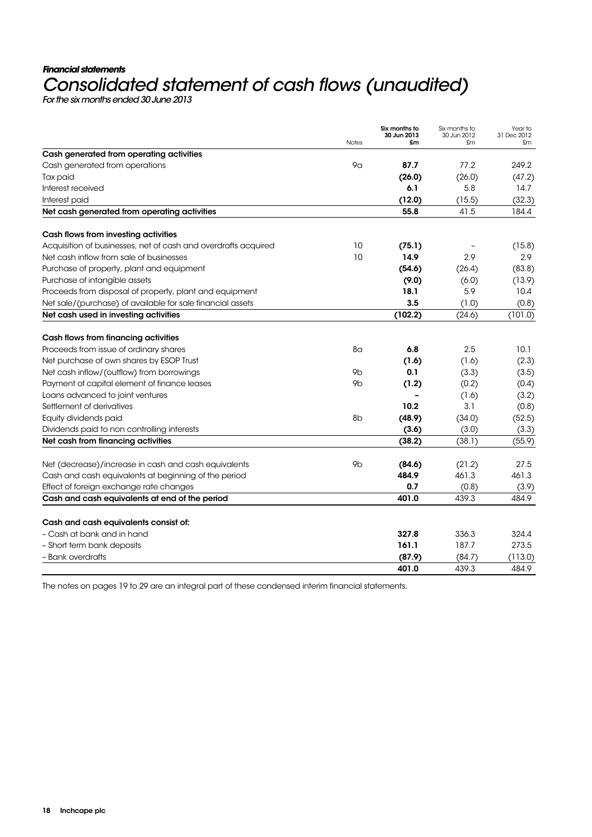# **Financial statements**  Consolidated statement of cash flows (unaudited)

|                                                                | <b>Notes</b>   | Six months to<br>30 Jun 2013<br>£m | Six months to<br>30 Jun 2012<br>£m | Year to<br>31 Dec 2012<br>£m |
|----------------------------------------------------------------|----------------|------------------------------------|------------------------------------|------------------------------|
| Cash generated from operating activities                       |                |                                    |                                    |                              |
| Cash generated from operations                                 | 9 <sub>G</sub> | 87.7                               | 77.2                               | 249.2                        |
| Tax paid                                                       |                | (26.0)                             | (26.0)                             | (47.2)                       |
| Interest received                                              |                | 6.1                                | 5.8                                | 14.7                         |
| Interest paid                                                  |                | (12.0)                             | (15.5)                             | (32.3)                       |
| Net cash generated from operating activities                   |                | 55.8                               | 41.5                               | 184.4                        |
| Cash flows from investing activities                           |                |                                    |                                    |                              |
| Acquisition of businesses, net of cash and overdrafts acquired | 10             | (75.1)                             |                                    | (15.8)                       |
| Net cash inflow from sale of businesses                        | 10             | 14.9                               | 2.9                                | 2.9                          |
| Purchase of property, plant and equipment                      |                | (54.6)                             | (26.4)                             | (83.8)                       |
| Purchase of intangible assets                                  |                | (9.0)                              | (6.0)                              | (13.9)                       |
| Proceeds from disposal of property, plant and equipment        |                | 18.1                               | 5.9                                | 10.4                         |
| Net sale/(purchase) of available for sale financial assets     |                | 3.5                                | (1.0)                              | (0.8)                        |
| Net cash used in investing activities                          |                | (102.2)                            | (24.6)                             | (101.0)                      |
| Cash flows from financing activities                           |                |                                    |                                    |                              |
| Proceeds from issue of ordinary shares                         | 8 <sub>G</sub> | 6.8                                | 2.5                                | 10.1                         |
| Net purchase of own shares by ESOP Trust                       |                | (1.6)                              | (1.6)                              | (2.3)                        |
| Net cash inflow/(outflow) from borrowings                      | 9b             | 0.1                                | (3.3)                              | (3.5)                        |
| Payment of capital element of finance leases                   | 9b             | (1.2)                              | (0.2)                              | (0.4)                        |
| Loans advanced to joint ventures                               |                |                                    | (1.6)                              | (3.2)                        |
| Settlement of derivatives                                      |                | 10.2                               | 3.1                                | (0.8)                        |
| Equity dividends paid                                          | 8 <sub>b</sub> | (48.9)                             | (34.0)                             | (52.5)                       |
| Dividends paid to non controlling interests                    |                | (3.6)                              | (3.0)                              | (3.3)                        |
| Net cash from financing activities                             |                | (38.2)                             | (38.1)                             | (55.9)                       |
| Net (decrease)/increase in cash and cash equivalents           | 9b             | (84.6)                             | (21.2)                             | 27.5                         |
| Cash and cash equivalents at beginning of the period           |                | 484.9                              | 461.3                              | 461.3                        |
| Effect of foreign exchange rate changes                        |                | 0.7                                | (0.8)                              | (3.9)                        |
| Cash and cash equivalents at end of the period                 |                | 401.0                              | 439.3                              | 484.9                        |
| Cash and cash equivalents consist of:                          |                |                                    |                                    |                              |
| - Cash at bank and in hand                                     |                | 327.8                              | 336.3                              | 324.4                        |
| - Short term bank deposits                                     |                | 161.1                              | 187.7                              | 273.5                        |
| - Bank overdrafts                                              |                | (87.9)                             | (84.7)                             | (113.0)                      |
|                                                                |                | 401.0                              | 439.3                              | 484.9                        |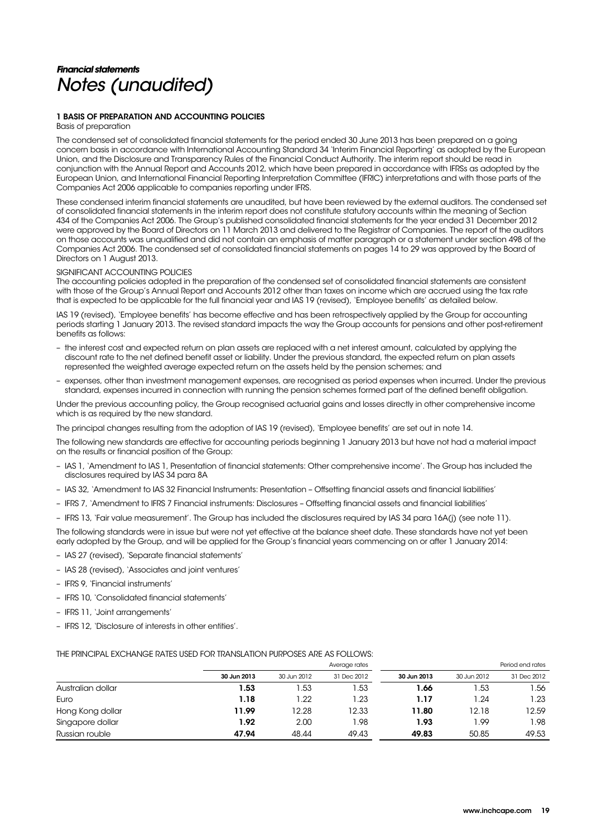# **Financial statements**  Notes (unaudited)

### 1 BASIS OF PREPARATION AND ACCOUNTING POLICIES

Basis of preparation

The condensed set of consolidated financial statements for the period ended 30 June 2013 has been prepared on a going concern basis in accordance with International Accounting Standard 34 'Interim Financial Reporting' as adopted by the European Union, and the Disclosure and Transparency Rules of the Financial Conduct Authority. The interim report should be read in conjunction with the Annual Report and Accounts 2012, which have been prepared in accordance with IFRSs as adopted by the European Union, and International Financial Reporting Interpretation Committee (IFRIC) interpretations and with those parts of the Companies Act 2006 applicable to companies reporting under IFRS.

These condensed interim financial statements are unaudited, but have been reviewed by the external auditors. The condensed set of consolidated financial statements in the interim report does not constitute statutory accounts within the meaning of Section 434 of the Companies Act 2006. The Group's published consolidated financial statements for the year ended 31 December 2012 were approved by the Board of Directors on 11 March 2013 and delivered to the Registrar of Companies. The report of the auditors on those accounts was unqualified and did not contain an emphasis of matter paragraph or a statement under section 498 of the Companies Act 2006. The condensed set of consolidated financial statements on pages 14 to 29 was approved by the Board of Directors on 1 August 2013.

### SIGNIFICANT ACCOUNTING POLICIES

The accounting policies adopted in the preparation of the condensed set of consolidated financial statements are consistent with those of the Group's Annual Report and Accounts 2012 other than taxes on income which are accrued using the tax rate that is expected to be applicable for the full financial year and IAS 19 (revised), 'Employee benefits' as detailed below.

IAS 19 (revised), 'Employee benefits' has become effective and has been retrospectively applied by the Group for accounting periods starting 1 January 2013. The revised standard impacts the way the Group accounts for pensions and other post-retirement benefits as follows:

- the interest cost and expected return on plan assets are replaced with a net interest amount, calculated by applying the discount rate to the net defined benefit asset or liability. Under the previous standard, the expected return on plan assets represented the weighted average expected return on the assets held by the pension schemes; and
- expenses, other than investment management expenses, are recognised as period expenses when incurred. Under the previous standard, expenses incurred in connection with running the pension schemes formed part of the defined benefit obligation.

Under the previous accounting policy, the Group recognised actuarial gains and losses directly in other comprehensive income which is as required by the new standard.

The principal changes resulting from the adoption of IAS 19 (revised), 'Employee benefits' are set out in note 14.

The following new standards are effective for accounting periods beginning 1 January 2013 but have not had a material impact on the results or financial position of the Group:

- IAS 1, 'Amendment to IAS 1, Presentation of financial statements: Other comprehensive income'. The Group has included the disclosures required by IAS 34 para 8A
- IAS 32, 'Amendment to IAS 32 Financial Instruments: Presentation Offsetting financial assets and financial liabilities'
- IFRS 7, 'Amendment to IFRS 7 Financial instruments: Disclosures Offsetting financial assets and financial liabilities'
- IFRS 13, 'Fair value measurement'. The Group has included the disclosures required by IAS 34 para 16A(j) (see note 11).

The following standards were in issue but were not yet effective at the balance sheet date. These standards have not yet been early adopted by the Group, and will be applied for the Group's financial years commencing on or after 1 January 2014:

- IAS 27 (revised), 'Separate financial statements'
- IAS 28 (revised), 'Associates and joint ventures'
- IFRS 9, 'Financial instruments'
- IFRS 10, 'Consolidated financial statements'
- IFRS 11, 'Joint arrangements'
- IFRS 12, 'Disclosure of interests in other entities'.

### THE PRINCIPAL EXCHANGE RATES USED FOR TRANSLATION PURPOSES ARE AS FOLLOWS:

|                   |             |             | Average rates |             |             | Period end rates |
|-------------------|-------------|-------------|---------------|-------------|-------------|------------------|
|                   | 30 Jun 2013 | 30 Jun 2012 | 31 Dec 2012   | 30 Jun 2013 | 30 Jun 2012 | 31 Dec 2012      |
| Australian dollar | 1.53        | l.53        | 1.53          | 1.66        | 1.53        | .56              |
| Euro              | 1.18        | 22. ا       | 1.23          | 1.17        | 1.24        | 1.23             |
| Hong Kong dollar  | 11.99       | 12.28       | 12.33         | 11.80       | 12.18       | 12.59            |
| Singapore dollar  | 1.92        | 2.00        | 1.98          | 1.93        | 1.99        | 1.98             |
| Russian rouble    | 47.94       | 48.44       | 49.43         | 49.83       | 50.85       | 49.53            |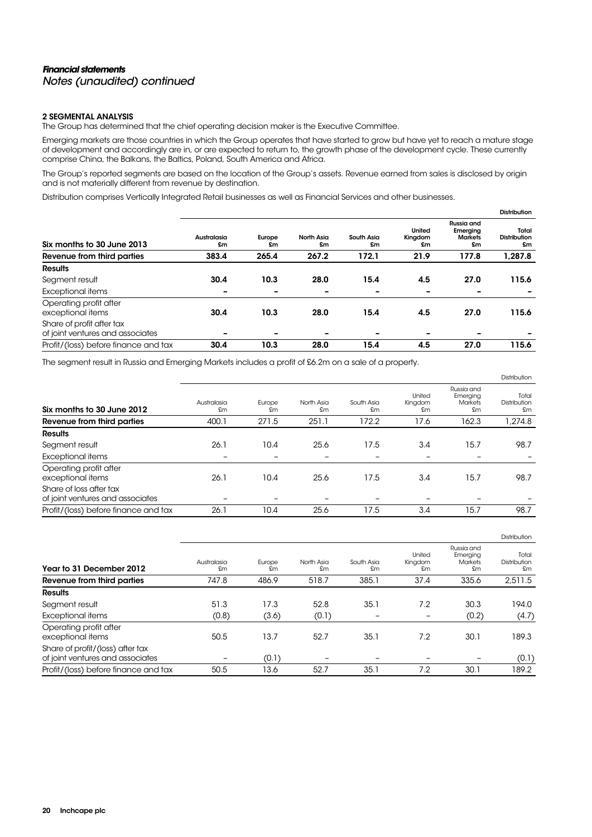### **Financial statements**  Notes (unaudited) continued

### 2 SEGMENTAL ANALYSIS

The Group has determined that the chief operating decision maker is the Executive Committee.

Emerging markets are those countries in which the Group operates that have started to grow but have yet to reach a mature stage of development and accordingly are in, or are expected to return to, the growth phase of the development cycle. These currently comprise China, the Balkans, the Baltics, Poland, South America and Africa.

The Group's reported segments are based on the location of the Group's assets. Revenue earned from sales is disclosed by origin and is not materially different from revenue by destination.

Distribution comprises Vertically Integrated Retail businesses as well as Financial Services and other businesses.

|                                                               |                   |                          |                  |                          |                          |                                                | <b>Distribution</b>                |
|---------------------------------------------------------------|-------------------|--------------------------|------------------|--------------------------|--------------------------|------------------------------------------------|------------------------------------|
| Six months to 30 June 2013                                    | Australasia<br>£m | Europe<br>£m             | North Asia<br>£m | South Asia<br>£m         | United<br>Kingdom<br>£m  | Russia and<br>Emerging<br><b>Markets</b><br>£m | Total<br><b>Distribution</b><br>£m |
| Revenue from third parties                                    | 383.4             | 265.4                    | 267.2            | 172.1                    | 21.9                     | 177.8                                          | 1,287.8                            |
| <b>Results</b>                                                |                   |                          |                  |                          |                          |                                                |                                    |
| Segment result                                                | 30.4              | 10.3                     | 28.0             | 15.4                     | 4.5                      | 27.0                                           | 115.6                              |
| Exceptional items                                             |                   | $\overline{\phantom{a}}$ | -                | $\overline{\phantom{0}}$ | -                        | -                                              |                                    |
| Operating profit after<br>exceptional items                   | 30.4              | 10.3                     | 28.0             | 15.4                     | 4.5                      | 27.0                                           | 115.6                              |
| Share of profit after tax<br>of joint ventures and associates |                   | $\overline{\phantom{0}}$ |                  |                          | $\overline{\phantom{0}}$ |                                                |                                    |
| Profit/(loss) before finance and tax                          | 30.4              | 10.3                     | 28.0             | 15.4                     | 4.5                      | 27.0                                           | 115.6                              |

The segment result in Russia and Emerging Markets includes a profit of £6.2m on a sale of a property.

|                                                             |                   |              |                  |                  |                          |                                                | Distribution                |
|-------------------------------------------------------------|-------------------|--------------|------------------|------------------|--------------------------|------------------------------------------------|-----------------------------|
| Six months to 30 June 2012                                  | Australasia<br>£m | Europe<br>£m | North Asia<br>£m | South Asia<br>£m | United<br>Kingdom<br>£m  | Russia and<br>Emerging<br><b>Markets</b><br>£m | Total<br>Distribution<br>£m |
| Revenue from third parties                                  | 400.1             | 271.5        | 251.1            | 172.2            | 17.6                     | 162.3                                          | 1,274.8                     |
| <b>Results</b>                                              |                   |              |                  |                  |                          |                                                |                             |
| Segment result                                              | 26.1              | 10.4         | 25.6             | 17.5             | 3.4                      | 15.7                                           | 98.7                        |
| <b>Exceptional items</b>                                    |                   |              |                  |                  | $\overline{\phantom{0}}$ |                                                |                             |
| Operating profit after<br>exceptional items                 | 26.1              | 10.4         | 25.6             | 17.5             | 3.4                      | 15.7                                           | 98.7                        |
| Share of loss after tax<br>of joint ventures and associates |                   | -            |                  |                  | $\overline{\phantom{0}}$ |                                                |                             |
| Profit/(loss) before finance and tax                        | 26.1              | 10.4         | 25.6             | 17.5             | 3.4                      | 15.7                                           | 98.7                        |

|                                                                      |                   |              |                  |                  |                         |                                                | Distribution                |
|----------------------------------------------------------------------|-------------------|--------------|------------------|------------------|-------------------------|------------------------------------------------|-----------------------------|
| Year to 31 December 2012                                             | Australasia<br>£m | Europe<br>£m | North Asia<br>£m | South Asia<br>£m | United<br>Kingdom<br>£m | Russia and<br>Emerging<br><b>Markets</b><br>£m | Total<br>Distribution<br>£m |
| Revenue from third parties                                           | 747.8             | 486.9        | 518.7            | 385.1            | 37.4                    | 335.6                                          | 2,511.5                     |
| <b>Results</b>                                                       |                   |              |                  |                  |                         |                                                |                             |
| Segment result                                                       | 51.3              | 17.3         | 52.8             | 35.1             | 7.2                     | 30.3                                           | 194.0                       |
| <b>Exceptional items</b>                                             | (0.8)             | (3.6)        | (0.1)            |                  | $\qquad \qquad -$       | (0.2)                                          | (4.7)                       |
| Operating profit after<br>exceptional items                          | 50.5              | 13.7         | 52.7             | 35.1             | 7.2                     | 30.1                                           | 189.3                       |
| Share of profit/(loss) after tax<br>of joint ventures and associates |                   | (0.1)        |                  |                  |                         |                                                | (0.1)                       |
| Profit/(loss) before finance and tax                                 | 50.5              | 13.6         | 52.7             | 35.1             | 7.2                     | 30.1                                           | 189.2                       |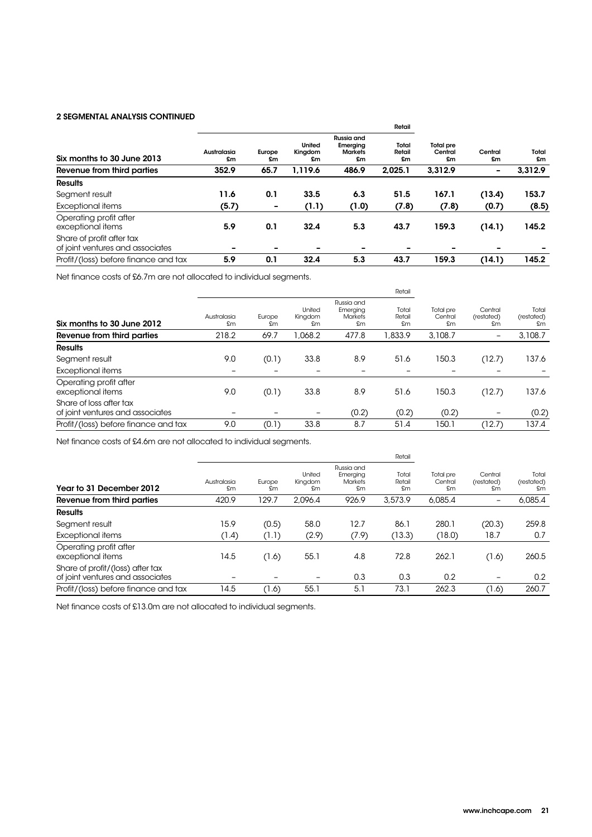### 2 SEGMENTAL ANALYSIS CONTINUED

|                                                               |                   |              |                         | Retail                                         |                       |                                   |               |             |
|---------------------------------------------------------------|-------------------|--------------|-------------------------|------------------------------------------------|-----------------------|-----------------------------------|---------------|-------------|
| Six months to 30 June 2013                                    | Australasia<br>£m | Europe<br>£m | United<br>Kingdom<br>£m | Russia and<br>Emerging<br><b>Markets</b><br>£m | Total<br>Retail<br>£m | <b>Total pre</b><br>Central<br>£m | Central<br>£m | Total<br>£m |
| Revenue from third parties                                    | 352.9             | 65.7         | 1,119.6                 | 486.9                                          | 2,025.1               | 3.312.9                           | ۰             | 3,312.9     |
| <b>Results</b>                                                |                   |              |                         |                                                |                       |                                   |               |             |
| Segment result                                                | 11.6              | 0.1          | 33.5                    | 6.3                                            | 51.5                  | 167.1                             | (13.4)        | 153.7       |
| <b>Exceptional items</b>                                      | (5.7)             | -            | (1.1)                   | (1.0)                                          | (7.8)                 | (7.8)                             | (0.7)         | (8.5)       |
| Operating profit after<br>exceptional items                   | 5.9               | 0.1          | 32.4                    | 5.3                                            | 43.7                  | 159.3                             | (14.1)        | 145.2       |
| Share of profit after tax<br>of joint ventures and associates |                   |              |                         | $\overline{\phantom{0}}$                       |                       |                                   |               |             |
| Profit/(loss) before finance and tax                          | 5.9               | 0.1          | 32.4                    | 5.3                                            | 43.7                  | 159.3                             | (14.1)        | 145.2       |

Net finance costs of £6.7m are not allocated to individual segments.

|                                                             |                   |              |                         | Retail                                         |                       |                            |                             |                           |
|-------------------------------------------------------------|-------------------|--------------|-------------------------|------------------------------------------------|-----------------------|----------------------------|-----------------------------|---------------------------|
| Six months to 30 June 2012                                  | Australasia<br>£m | Europe<br>£m | United<br>Kingdom<br>£m | Russia and<br>Emerging<br><b>Markets</b><br>£m | Total<br>Retail<br>£m | Total pre<br>Central<br>£m | Central<br>(restated)<br>£m | Total<br>(restated)<br>£m |
| Revenue from third parties                                  | 218.2             | 69.7         | .068.2                  | 477.8                                          | .833.9                | 3,108.7                    | $\qquad \qquad$             | 3,108.7                   |
| <b>Results</b>                                              |                   |              |                         |                                                |                       |                            |                             |                           |
| Segment result                                              | 9.0               | (0.1)        | 33.8                    | 8.9                                            | 51.6                  | 150.3                      | (12.7)                      | 137.6                     |
| Exceptional items                                           |                   | -            |                         | $\overline{\phantom{0}}$                       |                       |                            |                             |                           |
| Operating profit after<br>exceptional items                 | 9.0               | (0.1)        | 33.8                    | 8.9                                            | 51.6                  | 150.3                      | (12.7)                      | 137.6                     |
| Share of loss after tax<br>of joint ventures and associates |                   |              | -                       | (0.2)                                          | (0.2)                 | (0.2)                      | -                           | (0.2)                     |
| Profit/(loss) before finance and tax                        | 9.0               | (0.1)        | 33.8                    | 8.7                                            | 51.4                  | 150.1                      | (12.7)                      | 137.4                     |

Net finance costs of £4.6m are not allocated to individual segments.

|                                                                      |                   |              |                         | Retail                                         |                       |                            |                             |                           |
|----------------------------------------------------------------------|-------------------|--------------|-------------------------|------------------------------------------------|-----------------------|----------------------------|-----------------------------|---------------------------|
| Year to 31 December 2012                                             | Australasia<br>£m | Europe<br>£m | United<br>Kingdom<br>£m | Russia and<br>Emerging<br><b>Markets</b><br>£m | Total<br>Retail<br>£m | Total pre<br>Central<br>£m | Central<br>(restated)<br>£m | Total<br>(restated)<br>£m |
| Revenue from third parties                                           | 420.9             | 129.7        | 2.096.4                 | 926.9                                          | 3,573.9               | 6.085.4                    |                             | 6,085.4                   |
| <b>Results</b>                                                       |                   |              |                         |                                                |                       |                            |                             |                           |
| Segment result                                                       | 15.9              | (0.5)        | 58.0                    | 12.7                                           | 86.1                  | 280.1                      | (20.3)                      | 259.8                     |
| Exceptional items                                                    | (1.4)             | ר.ו׳         | (2.9)                   | (7.9)                                          | (13.3)                | (18.0)                     | 18.7                        | 0.7                       |
| Operating profit after<br>exceptional items                          | 14.5              | (1.6)        | 55.1                    | 4.8                                            | 72.8                  | 262.1                      | (1.6)                       | 260.5                     |
| Share of profit/(loss) after tax<br>of joint ventures and associates |                   |              |                         | 0.3                                            | 0.3                   | 0.2                        | -                           | 0.2                       |
| Profit/(loss) before finance and tax                                 | 14.5              | (1.6)        | 55.1                    | 5.1                                            | 73.1                  | 262.3                      | (1.6)                       | 260.7                     |
|                                                                      |                   |              |                         |                                                |                       |                            |                             |                           |

Net finance costs of £13.0m are not allocated to individual segments.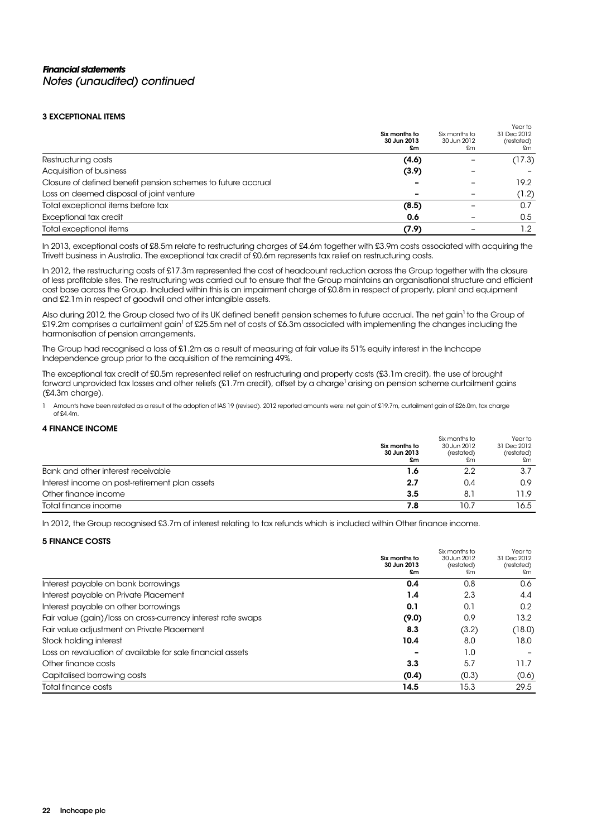### 3 EXCEPTIONAL ITEMS

|                                                              | Six months to<br>30 Jun 2013<br>£m | Six months to<br>30 Jun 2012<br>£m | Year to<br>31 Dec 2012<br>(restated)<br>£m |
|--------------------------------------------------------------|------------------------------------|------------------------------------|--------------------------------------------|
| Restructuring costs                                          | (4.6)                              |                                    | (17.3)                                     |
| Acquisition of business                                      | (3.9)                              |                                    |                                            |
| Closure of defined benefit pension schemes to future accrual |                                    |                                    | 19.2                                       |
| Loss on deemed disposal of joint venture                     |                                    |                                    | (1.2)                                      |
| Total exceptional items before tax                           | (8.5)                              |                                    | 0.7                                        |
| Exceptional tax credit                                       | 0.6                                |                                    | 0.5                                        |
| Total exceptional items                                      | (7.9)                              |                                    | 1.2                                        |

In 2013, exceptional costs of £8.5m relate to restructuring charges of £4.6m together with £3.9m costs associated with acquiring the Trivett business in Australia. The exceptional tax credit of £0.6m represents tax relief on restructuring costs.

In 2012, the restructuring costs of £17.3m represented the cost of headcount reduction across the Group together with the closure of less profitable sites. The restructuring was carried out to ensure that the Group maintains an organisational structure and efficient cost base across the Group. Included within this is an impairment charge of £0.8m in respect of property, plant and equipment and £2.1m in respect of goodwill and other intangible assets.

Also during 2012, the Group closed two of its UK defined benefit pension schemes to future accrual. The net gain<sup>1</sup> to the Group of £19.2m comprises a curtailment gain<sup>1</sup> of £25.5m net of costs of £6.3m associated with implementing the changes including the harmonisation of pension arrangements.

The Group had recognised a loss of £1.2m as a result of measuring at fair value its 51% equity interest in the Inchcape Independence group prior to the acquisition of the remaining 49%.

The exceptional tax credit of £0.5m represented relief on restructuring and property costs (£3.1m credit), the use of brought forward unprovided tax losses and other reliefs (£1.7m credit), offset by a charge<sup>1</sup> arising on pension scheme curtailment gains (£4.3m charge).

1 Amounts have been restated as a result of the adoption of IAS 19 (revised). 2012 reported amounts were: net gain of £19.7m, curtailment gain of £26.0m, tax charge of  $64.4m$ 

### 4 FINANCE INCOME

|                                                | Six months to<br>30 Jun 2013<br>£m | Six months to<br>30 Jun 2012<br>(restated)<br>£m | Year to<br>31 Dec 2012<br>(restated)<br>£m |
|------------------------------------------------|------------------------------------|--------------------------------------------------|--------------------------------------------|
| Bank and other interest receivable             | 1.6                                | 2.2                                              | 3.7                                        |
| Interest income on post-retirement plan assets | 2.7                                | 0.4                                              | 0.9                                        |
| Other finance income                           | 3.5                                | 8.1                                              | 11.9                                       |
| Total finance income                           | 7.8                                | 10.7                                             | 16.5                                       |

In 2012, the Group recognised £3.7m of interest relating to tax refunds which is included within Other finance income.

### 5 FINANCE COSTS

|                                                              | Six months to | Six months to | Year to     |
|--------------------------------------------------------------|---------------|---------------|-------------|
|                                                              |               | 30 Jun 2012   | 31 Dec 2012 |
|                                                              | 30 Jun 2013   | (restated)    | (restated)  |
|                                                              | £m            | £m            | £m          |
| Interest payable on bank borrowings                          | 0.4           | 0.8           | 0.6         |
| Interest payable on Private Placement                        | 1.4           | 2.3           | 4.4         |
| Interest payable on other borrowings                         | 0.1           | 0.1           | 0.2         |
| Fair value (gain)/loss on cross-currency interest rate swaps | (9.0)         | 0.9           | 13.2        |
| Fair value adjustment on Private Placement                   | 8.3           | (3.2)         | (18.0)      |
| Stock holding interest                                       | 10.4          | 8.0           | 18.0        |
| Loss on revaluation of available for sale financial assets   |               | 1.0           |             |
| Other finance costs                                          | 3.3           | 5.7           | 11.7        |
| Capitalised borrowing costs                                  | (0.4)         | (0.3)         | (0.6)       |
| Total finance costs                                          | 14.5          | 15.3          | 29.5        |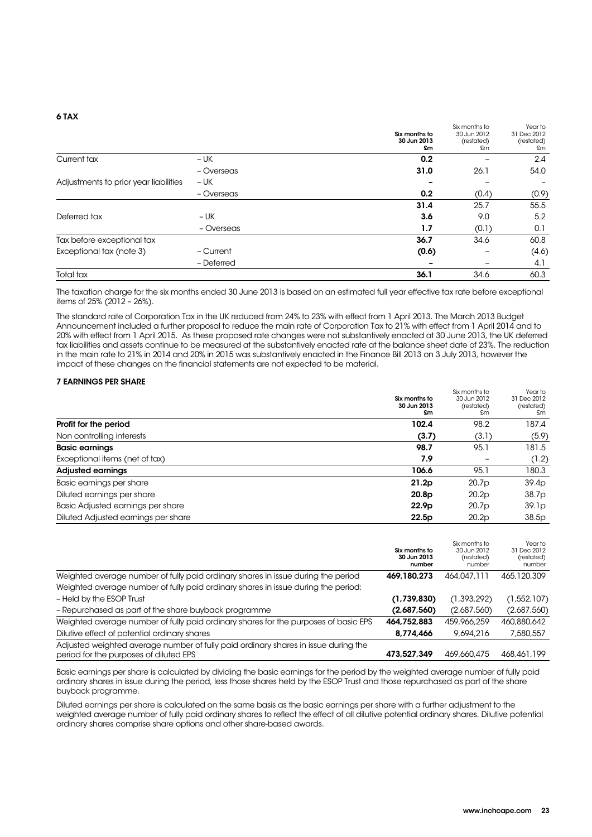#### 6 TAX

|                                       |            | Six months to<br>30 Jun 2013<br>£m | Six months to<br>30 Jun 2012<br>(restated)<br>£m | Year to<br>31 Dec 2012<br>(restated)<br>£m |
|---------------------------------------|------------|------------------------------------|--------------------------------------------------|--------------------------------------------|
| Current tax                           | $- UK$     | 0.2                                |                                                  | 2.4                                        |
|                                       | - Overseas | 31.0                               | 26.1                                             | 54.0                                       |
| Adjustments to prior year liabilities | – UK       |                                    |                                                  |                                            |
|                                       | - Overseas | 0.2                                | (0.4)                                            | (0.9)                                      |
|                                       |            | 31.4                               | 25.7                                             | 55.5                                       |
| Deferred tax                          | $- UK$     | 3.6                                | 9.0                                              | 5.2                                        |
|                                       | - Overseas | 1.7                                | (0.1)                                            | 0.1                                        |
| Tax before exceptional tax            |            | 36.7                               | 34.6                                             | 60.8                                       |
| Exceptional tax (note 3)              | - Current  | (0.6)                              |                                                  | (4.6)                                      |
|                                       | - Deferred |                                    |                                                  | 4.1                                        |
| Total tax                             |            | 36.1                               | 34.6                                             | 60.3                                       |

The taxation charge for the six months ended 30 June 2013 is based on an estimated full year effective tax rate before exceptional items of  $25% (2012 - 26%)$ .

The standard rate of Corporation Tax in the UK reduced from 24% to 23% with effect from 1 April 2013. The March 2013 Budget Announcement included a further proposal to reduce the main rate of Corporation Tax to 21% with effect from 1 April 2014 and to 20% with effect from 1 April 2015. As these proposed rate changes were not substantively enacted at 30 June 2013, the UK deferred tax liabilities and assets continue to be measured at the substantively enacted rate at the balance sheet date of 23%. The reduction in the main rate to 21% in 2014 and 20% in 2015 was substantively enacted in the Finance Bill 2013 on 3 July 2013, however the impact of these changes on the financial statements are not expected to be material.

### 7 EARNINGS PER SHARE

|                                     | Six months to<br>30 Jun 2013<br>£m | Six months to<br>30 Jun 2012<br>(restated)<br>£m | Year to<br>31 Dec 2012<br>(restated)<br>£m |
|-------------------------------------|------------------------------------|--------------------------------------------------|--------------------------------------------|
| Profit for the period               | 102.4                              | 98.2                                             | 187.4                                      |
| Non controlling interests           | (3.7)                              | (3.1)                                            | (5.9)                                      |
| <b>Basic earnings</b>               | 98.7                               | 95.1                                             | 181.5                                      |
| Exceptional items (net of tax)      | 7.9                                |                                                  | (1.2)                                      |
| <b>Adjusted earnings</b>            | 106.6                              | 95.1                                             | 180.3                                      |
| Basic earnings per share            | 21.2p                              | 20.7p                                            | 39.4p                                      |
| Diluted earnings per share          | 20.8 <sub>p</sub>                  | 20.2p                                            | 38.7p                                      |
| Basic Adjusted earnings per share   | 22.9 <sub>p</sub>                  | 20.7p                                            | 39.1 <sub>p</sub>                          |
| Diluted Adjusted earnings per share | 22.5p                              | 20.2p                                            | 38.5p                                      |

|                                                                                                                              | Six months to<br>30 Jun 2013<br>number | Six months to<br>30 Jun 2012<br>(restated)<br>number | Year to<br>31 Dec 2012<br>(restated)<br>number |
|------------------------------------------------------------------------------------------------------------------------------|----------------------------------------|------------------------------------------------------|------------------------------------------------|
| Weighted average number of fully paid ordinary shares in issue during the period                                             | 469,180,273                            | 464,047,111                                          | 465,120,309                                    |
| Weighted average number of fully paid ordinary shares in issue during the period:                                            |                                        |                                                      |                                                |
| - Held by the ESOP Trust                                                                                                     | (1,739,830)                            | (1, 393, 292)                                        | (1, 552, 107)                                  |
| - Repurchased as part of the share buyback programme                                                                         | (2,687,560)                            | (2,687,560)                                          | (2,687,560)                                    |
| Weighted average number of fully paid ordinary shares for the purposes of basic EPS                                          | 464,752,883                            | 459,966,259                                          | 460,880,642                                    |
| Dilutive effect of potential ordinary shares                                                                                 | 8,774,466                              | 9,694,216                                            | 7,580,557                                      |
| Adjusted weighted average number of fully paid ordinary shares in issue during the<br>period for the purposes of diluted EPS | 473.527.349                            | 469,660,475                                          | 468,461,199                                    |

Basic earnings per share is calculated by dividing the basic earnings for the period by the weighted average number of fully paid ordinary shares in issue during the period, less those shares held by the ESOP Trust and those repurchased as part of the share buyback programme.

Diluted earnings per share is calculated on the same basis as the basic earnings per share with a further adjustment to the weighted average number of fully paid ordinary shares to reflect the effect of all dilutive potential ordinary shares. Dilutive potential ordinary shares comprise share options and other share-based awards.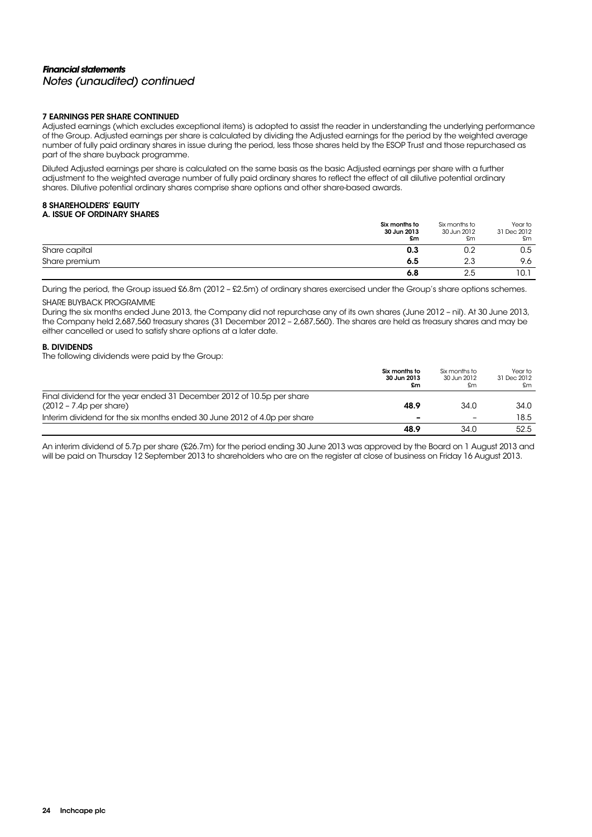### **Financial statements**  Notes (unaudited) continued

### 7 EARNINGS PER SHARE CONTINUED

Adjusted earnings (which excludes exceptional items) is adopted to assist the reader in understanding the underlying performance of the Group. Adjusted earnings per share is calculated by dividing the Adjusted earnings for the period by the weighted average number of fully paid ordinary shares in issue during the period, less those shares held by the ESOP Trust and those repurchased as part of the share buyback programme.

Diluted Adjusted earnings per share is calculated on the same basis as the basic Adjusted earnings per share with a further adjustment to the weighted average number of fully paid ordinary shares to reflect the effect of all dilutive potential ordinary shares. Dilutive potential ordinary shares comprise share options and other share-based awards.

### 8 SHAREHOLDERS' EQUITY A. ISSUE OF ORDINARY SHARES

|               | Six months to<br>30 Jun 2013<br>£m | Six months to<br>30 Jun 2012<br>£m | Year to<br>31 Dec 2012<br>£m |
|---------------|------------------------------------|------------------------------------|------------------------------|
| Share capital | 0.3                                | 0.2                                | 0.5                          |
| Share premium | 6.5                                | 2.3                                | 9.6                          |
|               | 6.8                                | 2.5                                | 10.1                         |

During the period, the Group issued £6.8m (2012 – £2.5m) of ordinary shares exercised under the Group's share options schemes. SHARE BUYBACK PROGRAMME

During the six months ended June 2013, the Company did not repurchase any of its own shares (June 2012 – nil). At 30 June 2013, the Company held 2,687,560 treasury shares (31 December 2012 – 2,687,560). The shares are held as treasury shares and may be either cancelled or used to satisfy share options at a later date.

### B. DIVIDENDS

The following dividends were paid by the Group:

|                                                                          | Six months to<br>30 Jun 2013<br>£m | Six months to<br>30 Jun 2012<br>£m | Year to<br>31 Dec 2012<br>£m |
|--------------------------------------------------------------------------|------------------------------------|------------------------------------|------------------------------|
| Final dividend for the year ended 31 December 2012 of 10.5p per share    | 48.9                               | 34.0                               | 34.0                         |
| $(2012 - 7.4p$ per share)                                                |                                    |                                    |                              |
| Interim dividend for the six months ended 30 June 2012 of 4.0p per share | -                                  | $\equiv$                           | 18.5                         |
|                                                                          | 48.9                               | 34.0                               | 52.5                         |

An interim dividend of 5.7p per share (£26.7m) for the period ending 30 June 2013 was approved by the Board on 1 August 2013 and will be paid on Thursday 12 September 2013 to shareholders who are on the register at close of business on Friday 16 August 2013.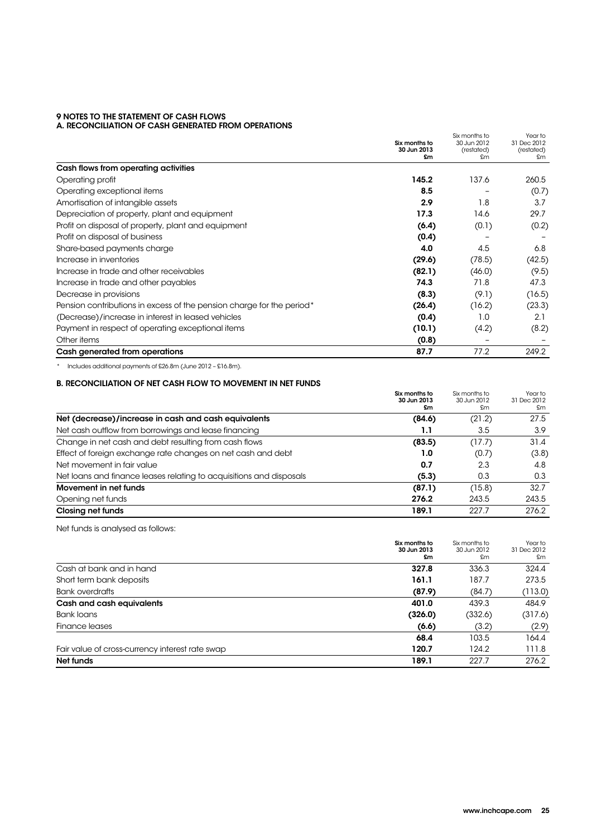#### 9 NOTES TO THE STATEMENT OF CASH FLOWS A. RECONCILIATION OF CASH GENERATED FROM OPERATIONS

|                                                                       | Six months to<br>30 Jun 2013<br>£m | Six months to<br>30 Jun 2012<br>(restated)<br>£m | Year to<br>31 Dec 2012<br>(restated)<br>£m |
|-----------------------------------------------------------------------|------------------------------------|--------------------------------------------------|--------------------------------------------|
| Cash flows from operating activities                                  |                                    |                                                  |                                            |
| Operating profit                                                      | 145.2                              | 137.6                                            | 260.5                                      |
| Operating exceptional items                                           | 8.5                                |                                                  | (0.7)                                      |
| Amortisation of intangible assets                                     | 2.9                                | 1.8                                              | 3.7                                        |
| Depreciation of property, plant and equipment                         | 17.3                               | 14.6                                             | 29.7                                       |
| Profit on disposal of property, plant and equipment                   | (6.4)                              | (0.1)                                            | (0.2)                                      |
| Profit on disposal of business                                        | (0.4)                              |                                                  |                                            |
| Share-based payments charge                                           | 4.0                                | 4.5                                              | 6.8                                        |
| Increase in inventories                                               | (29.6)                             | (78.5)                                           | (42.5)                                     |
| Increase in trade and other receivables                               | (82.1)                             | (46.0)                                           | (9.5)                                      |
| Increase in trade and other payables                                  | 74.3                               | 71.8                                             | 47.3                                       |
| Decrease in provisions                                                | (8.3)                              | (9.1)                                            | (16.5)                                     |
| Pension contributions in excess of the pension charge for the period* | (26.4)                             | (16.2)                                           | (23.3)                                     |
| (Decrease)/increase in interest in leased vehicles                    | (0.4)                              | 1.0                                              | 2.1                                        |
| Payment in respect of operating exceptional items                     | (10.1)                             | (4.2)                                            | (8.2)                                      |
| Other items                                                           | (0.8)                              |                                                  |                                            |
| Cash generated from operations                                        | 87.7                               | 77.2                                             | 249.2                                      |

\* Includes additional payments of £26.8m (June 2012 – £16.8m).

### B. RECONCILIATION OF NET CASH FLOW TO MOVEMENT IN NET FUNDS

|                                                                     | Six months to<br>30 Jun 2013<br>£m | Six months to<br>30 Jun 2012<br>£m | Year to<br>31 Dec 2012<br>£m |
|---------------------------------------------------------------------|------------------------------------|------------------------------------|------------------------------|
| Net (decrease)/increase in cash and cash equivalents                | (84.6)                             | (21.2)                             | 27.5                         |
| Net cash outflow from borrowings and lease financing                | 1.1                                | 3.5                                | 3.9                          |
| Change in net cash and debt resulting from cash flows               | (83.5)                             | (17.7)                             | 31.4                         |
| Effect of foreign exchange rate changes on net cash and debt        | 1.0                                | (0.7)                              | (3.8)                        |
| Net movement in fair value                                          | 0.7                                | 2.3                                | 4.8                          |
| Net loans and finance leases relating to acquisitions and disposals | (5.3)                              | 0.3                                | 0.3                          |
| Movement in net funds                                               | (87.1)                             | (15.8)                             | 32.7                         |
| Opening net funds                                                   | 276.2                              | 243.5                              | 243.5                        |
| Closing net funds                                                   | 189.1                              | 227.7                              | 276.2                        |

Net funds is analysed as follows:

|                                                 | Six months to<br>30 Jun 2013<br>£m | Six months to<br>30 Jun 2012<br>£m | Year to<br>31 Dec 2012<br>£m |
|-------------------------------------------------|------------------------------------|------------------------------------|------------------------------|
| Cash at bank and in hand                        | 327.8                              | 336.3                              | 324.4                        |
| Short term bank deposits                        | 161.1                              | 187.7                              | 273.5                        |
| <b>Bank overdrafts</b>                          | (87.9)                             | (84.7)                             | (113.0)                      |
| Cash and cash equivalents                       | 401.0                              | 439.3                              | 484.9                        |
| Bank loans                                      | (326.0)                            | (332.6)                            | (317.6)                      |
| Finance leases                                  | (6.6)                              | (3.2)                              | (2.9)                        |
|                                                 | 68.4                               | 103.5                              | 164.4                        |
| Fair value of cross-currency interest rate swap | 120.7                              | 124.2                              | 111.8                        |
| Net funds                                       | 189.1                              | 227.7                              | 276.2                        |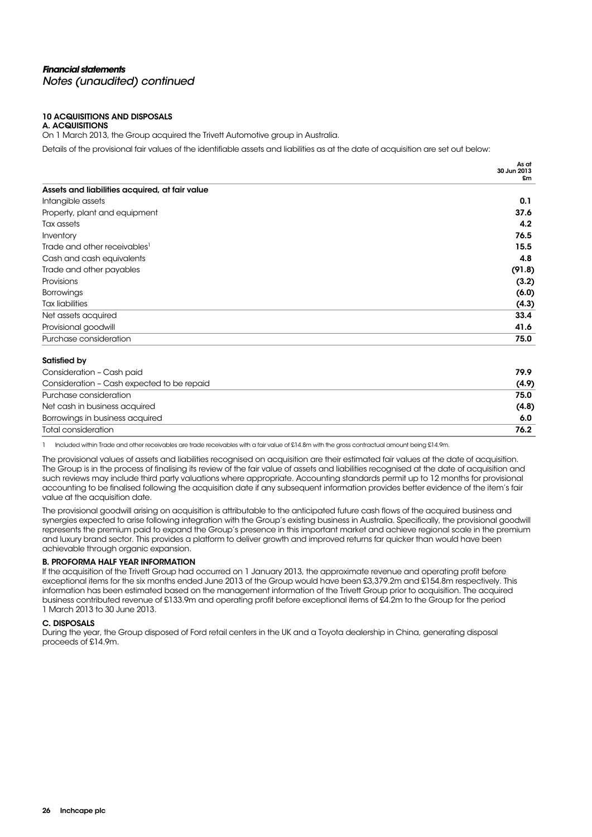### **Financial statements**  Notes (unaudited) continued

#### 10 ACQUISITIONS AND DISPOSALS A. ACQUISITIONS

On 1 March 2013, the Group acquired the Trivett Automotive group in Australia.

Details of the provisional fair values of the identifiable assets and liabilities as at the date of acquisition are set out below:

|                                                | As at<br>30 Jun 2013 |
|------------------------------------------------|----------------------|
|                                                | £m                   |
| Assets and liabilities acquired, at fair value |                      |
| Intangible assets                              | 0.1                  |
| Property, plant and equipment                  | 37.6                 |
| Tax assets                                     | $4.2^{\circ}$        |
| Inventory                                      | 76.5                 |
| Trade and other receivables <sup>1</sup>       | 15.5                 |
| Cash and cash equivalents                      | 4.8                  |
| Trade and other payables                       | (91.8)               |
| Provisions                                     | (3.2)                |
| <b>Borrowings</b>                              | (6.0)                |
| <b>Tax liabilities</b>                         | (4.3)                |
| Net assets acquired                            | 33.4                 |
| Provisional goodwill                           | 41.6                 |
| Purchase consideration                         | 75.0                 |

### Satisfied by

| Consideration - Cash paid                  | 79.9  |
|--------------------------------------------|-------|
| Consideration - Cash expected to be repaid | (4.9) |
| Purchase consideration                     | 75.0  |
| Net cash in business acquired              | (4.8) |
| Borrowings in business acquired            | 6.0   |
| Total consideration                        | 76.2  |

1 Included within Trade and other receivables are trade receivables with a fair value of £14.8m with the gross contractual amount being £14.9m.

The provisional values of assets and liabilities recognised on acquisition are their estimated fair values at the date of acquisition. The Group is in the process of finalising its review of the fair value of assets and liabilities recognised at the date of acquisition and such reviews may include third party valuations where appropriate. Accounting standards permit up to 12 months for provisional accounting to be finalised following the acquisition date if any subsequent information provides better evidence of the item's fair value at the acquisition date.

The provisional goodwill arising on acquisition is attributable to the anticipated future cash flows of the acquired business and synergies expected to arise following integration with the Group's existing business in Australia. Specifically, the provisional goodwill represents the premium paid to expand the Group's presence in this important market and achieve regional scale in the premium and luxury brand sector. This provides a platform to deliver growth and improved returns far quicker than would have been achievable through organic expansion.

### B. PROFORMA HALF YEAR INFORMATION

If the acquisition of the Trivett Group had occurred on 1 January 2013, the approximate revenue and operating profit before exceptional items for the six months ended June 2013 of the Group would have been £3,379.2m and £154.8m respectively. This information has been estimated based on the management information of the Trivett Group prior to acquisition. The acquired business contributed revenue of £133.9m and operating profit before exceptional items of £4.2m to the Group for the period 1 March 2013 to 30 June 2013.

### C. DISPOSALS

During the year, the Group disposed of Ford retail centers in the UK and a Toyota dealership in China, generating disposal proceeds of £14.9m.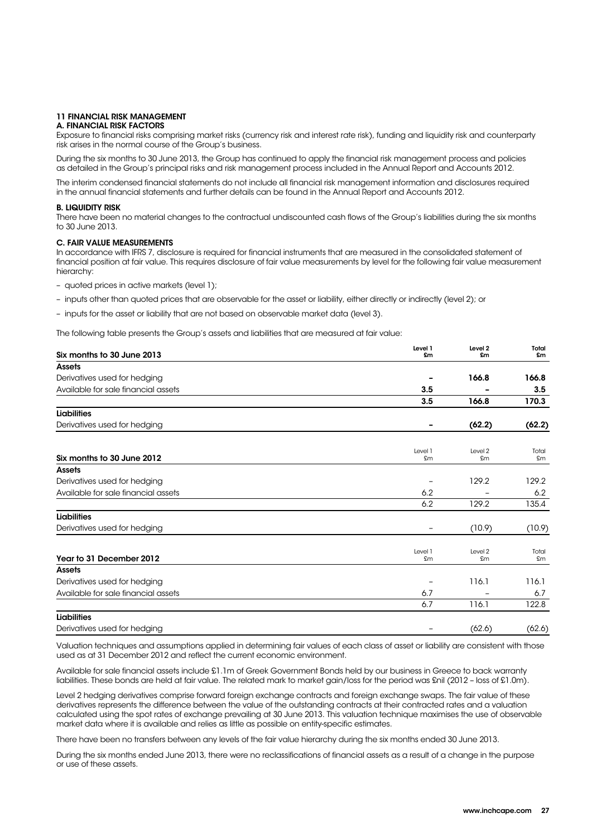### 11 FINANCIAL RISK MANAGEMENT

### A. FINANCIAL RISK FACTORS

Exposure to financial risks comprising market risks (currency risk and interest rate risk), funding and liquidity risk and counterparty risk arises in the normal course of the Group's business.

During the six months to 30 June 2013, the Group has continued to apply the financial risk management process and policies as detailed in the Group's principal risks and risk management process included in the Annual Report and Accounts 2012.

The interim condensed financial statements do not include all financial risk management information and disclosures required in the annual financial statements and further details can be found in the Annual Report and Accounts 2012.

#### B. LIQUIDITY RISK

There have been no material changes to the contractual undiscounted cash flows of the Group's liabilities during the six months to 30 June 2013.

#### C. FAIR VALUE MEASUREMENTS

In accordance with IFRS 7, disclosure is required for financial instruments that are measured in the consolidated statement of financial position at fair value. This requires disclosure of fair value measurements by level for the following fair value measurement hierarchy:

– quoted prices in active markets (level 1);

- inputs other than quoted prices that are observable for the asset or liability, either directly or indirectly (level 2); or
- inputs for the asset or liability that are not based on observable market data (level 3).

The following table presents the Group's assets and liabilities that are measured at fair value:

| Six months to 30 June 2013          | Level 1<br>£m     | Level <sub>2</sub><br>£m | Total<br>£m |
|-------------------------------------|-------------------|--------------------------|-------------|
| <b>Assets</b>                       |                   |                          |             |
| Derivatives used for hedging        |                   | 166.8                    | 166.8       |
| Available for sale financial assets | 3.5               |                          | 3.5         |
|                                     | 3.5               | 166.8                    | 170.3       |
| <b>Liabilities</b>                  |                   |                          |             |
| Derivatives used for hedging        |                   | (62.2)                   | (62.2)      |
|                                     | Level 1           | Level 2                  | Total       |
| Six months to 30 June 2012          | £m                | £m                       | £m          |
| <b>Assets</b>                       |                   |                          |             |
| Derivatives used for hedging        |                   | 129.2                    | 129.2       |
| Available for sale financial assets | 6.2               |                          | 6.2         |
|                                     | 6.2               | 129.2                    | 135.4       |
| <b>Liabilities</b>                  |                   |                          |             |
| Derivatives used for hedging        | $\qquad \qquad -$ | (10.9)                   | (10.9)      |
| Year to 31 December 2012            | Level 1<br>£m     | Level 2<br>£m            | Total<br>£m |
| <b>Assets</b>                       |                   |                          |             |
| Derivatives used for hedging        |                   | 116.1                    | 116.1       |
| Available for sale financial assets | 6.7               |                          | 6.7         |
|                                     | 6.7               | 116.1                    | 122.8       |
| <b>Liabilities</b>                  |                   |                          |             |
| Derivatives used for hedging        | -                 | (62.6)                   | (62.6)      |

Valuation techniques and assumptions applied in determining fair values of each class of asset or liability are consistent with those used as at 31 December 2012 and reflect the current economic environment.

Available for sale financial assets include £1.1m of Greek Government Bonds held by our business in Greece to back warranty liabilities. These bonds are held at fair value. The related mark to market gain/loss for the period was £nil (2012 – loss of £1.0m).

Level 2 hedging derivatives comprise forward foreign exchange contracts and foreign exchange swaps. The fair value of these derivatives represents the difference between the value of the outstanding contracts at their contracted rates and a valuation calculated using the spot rates of exchange prevailing at 30 June 2013. This valuation technique maximises the use of observable market data where it is available and relies as little as possible on entity-specific estimates.

There have been no transfers between any levels of the fair value hierarchy during the six months ended 30 June 2013.

During the six months ended June 2013, there were no reclassifications of financial assets as a result of a change in the purpose or use of these assets.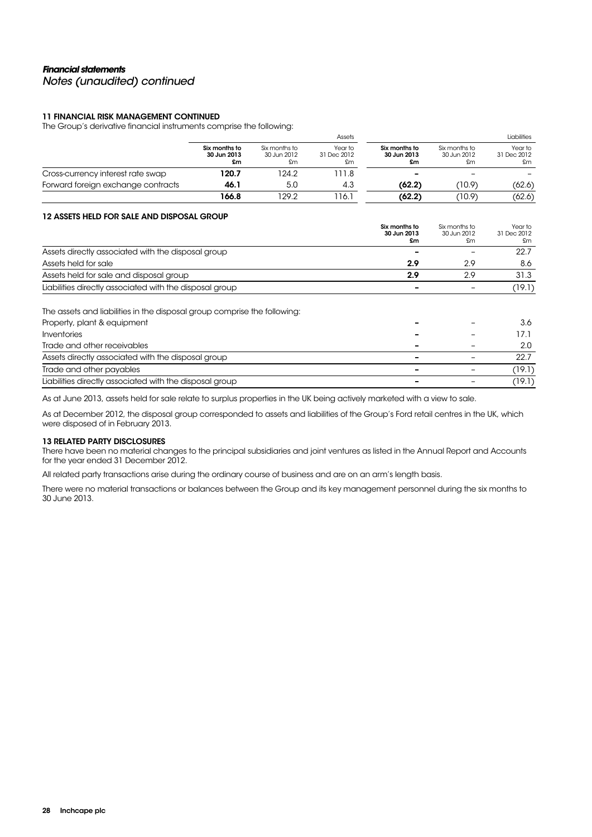### **Financial statements**  Notes (unaudited) continued

### 11 FINANCIAL RISK MANAGEMENT CONTINUED

The Group's derivative financial instruments comprise the following:

|                                    |                                    |                              |                                    |                                    | Liabilities                  |
|------------------------------------|------------------------------------|------------------------------|------------------------------------|------------------------------------|------------------------------|
| Six months to<br>30 Jun 2013<br>£m | Six months to<br>30 Jun 2012<br>£m | Year to<br>31 Dec 2012<br>£m | Six months to<br>30 Jun 2013<br>£m | Six months to<br>30 Jun 2012<br>£m | Year to<br>31 Dec 2012<br>£m |
| 120.7                              | 124.2                              | 11.8                         | $\overline{\phantom{0}}$           |                                    |                              |
| 46.1                               | 5.0                                | 4.3                          | (62.2)                             | (10.9)                             | (62.6)                       |
| 166.8                              | 129.2                              | 16.1                         | (62.2)                             | (10.9)                             | (62.6)                       |
|                                    |                                    |                              |                                    | Assets                             |                              |

### 12 ASSETS HELD FOR SALE AND DISPOSAL GROUP

|                                                                          | Six months to<br>30 Jun 2013<br>£m | Six months to<br>30 Jun 2012<br>£m | Year to<br>31 Dec 2012<br>£m |
|--------------------------------------------------------------------------|------------------------------------|------------------------------------|------------------------------|
|                                                                          |                                    |                                    |                              |
| Assets directly associated with the disposal group                       |                                    |                                    | 22.7                         |
| Assets held for sale                                                     | 2.9                                | 2.9                                | 8.6                          |
| Assets held for sale and disposal group                                  | 2.9                                | 2.9                                | 31.3                         |
| Liabilities directly associated with the disposal group                  |                                    |                                    | (19.1)                       |
| The assets and liabilities in the disposal group comprise the following: |                                    |                                    |                              |
| Property, plant & equipment                                              |                                    |                                    | 3.6                          |
| Inventories                                                              |                                    |                                    | 17.1                         |
| Trade and other receivables                                              |                                    |                                    | 2.0                          |
| Assets directly associated with the disposal group                       |                                    |                                    | 22.7                         |
| Trade and other payables                                                 |                                    |                                    | (19.1)                       |
| Liabilities directly associated with the disposal group                  |                                    |                                    | (19.1)                       |

As at June 2013, assets held for sale relate to surplus properties in the UK being actively marketed with a view to sale.

As at December 2012, the disposal group corresponded to assets and liabilities of the Group's Ford retail centres in the UK, which were disposed of in February 2013.

### 13 RELATED PARTY DISCLOSURES

There have been no material changes to the principal subsidiaries and joint ventures as listed in the Annual Report and Accounts for the year ended 31 December 2012.

All related party transactions arise during the ordinary course of business and are on an arm's length basis.

There were no material transactions or balances between the Group and its key management personnel during the six months to 30 June 2013.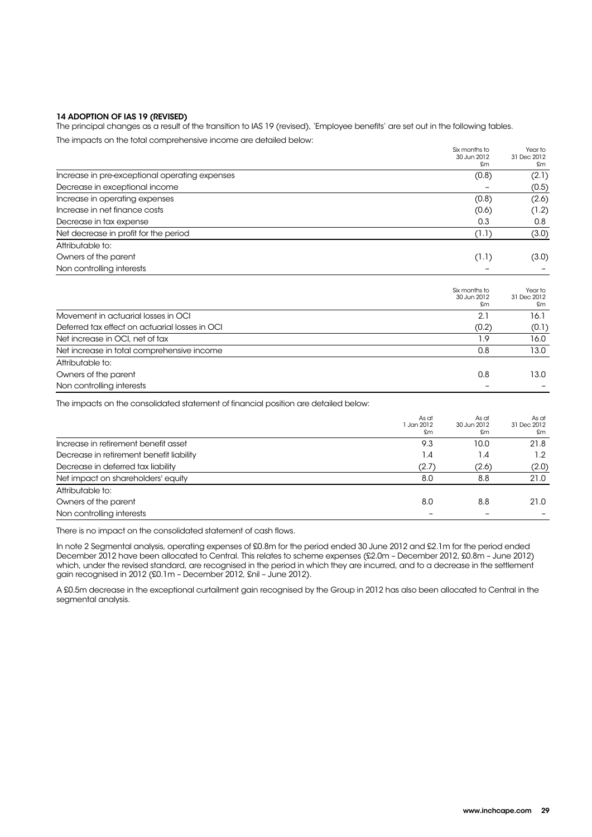### 14 ADOPTION OF IAS 19 (REVISED)

The principal changes as a result of the transition to IAS 19 (revised), 'Employee benefits' are set out in the following tables. The impacts on the total comprehensive income are detailed below:

|       | Year to<br>31 Dec 2012                                       |
|-------|--------------------------------------------------------------|
| £m    | £m                                                           |
| (0.8) | (2.1)                                                        |
|       | (0.5)                                                        |
| (0.8) | (2.6)                                                        |
| (0.6) | (1.2)                                                        |
| 0.3   | 0.8                                                          |
| (1.1) | (3.0)                                                        |
|       |                                                              |
| (1.1) | (3.0)                                                        |
|       |                                                              |
|       |                                                              |
|       | Year to<br>31 Dec 2012                                       |
| £m    | £m                                                           |
| 2.1   | 16.1                                                         |
| (0.2) | (0.1)                                                        |
| 1.9   | 16.0                                                         |
| 0.8   | 13.0                                                         |
|       |                                                              |
| 0.8   | 13.0                                                         |
|       |                                                              |
|       | Six months to<br>30 Jun 2012<br>Six months to<br>30 Jun 2012 |

The impacts on the consolidated statement of financial position are detailed below:

|                                          | As at<br>1 Jan 2012<br>£m | As at<br>30 Jun 2012<br>£m | As at<br>31 Dec 2012<br>£m |
|------------------------------------------|---------------------------|----------------------------|----------------------------|
| Increase in retirement benefit asset     | 9.3                       | 10.0                       | 21.8                       |
| Decrease in retirement benefit liability | 1.4                       | 1.4                        | 1.2                        |
| Decrease in deferred tax liability       | (2.7)                     | (2.6)                      | (2.0)                      |
| Net impact on shareholders' equity       | 8.0                       | 8.8                        | 21.0                       |
| Attributable to:                         |                           |                            |                            |
| Owners of the parent                     | 8.0                       | 8.8                        | 21.0                       |
| Non controlling interests                |                           |                            |                            |

There is no impact on the consolidated statement of cash flows.

In note 2 Segmental analysis, operating expenses of £0.8m for the period ended 30 June 2012 and £2.1m for the period ended December 2012 have been allocated to Central. This relates to scheme expenses (£2.0m – December 2012, £0.8m – June 2012) which, under the revised standard, are recognised in the period in which they are incurred, and to a decrease in the settlement gain recognised in 2012 (£0.1m – December 2012, £nil – June 2012).

A £0.5m decrease in the exceptional curtailment gain recognised by the Group in 2012 has also been allocated to Central in the segmental analysis.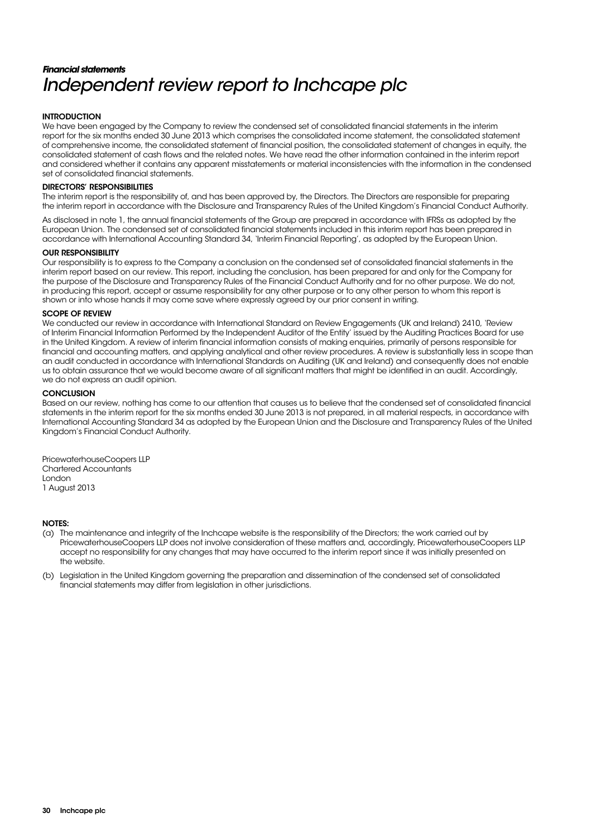# **Financial statements**  Independent review report to Inchcape plc

### **INTRODUCTION**

We have been engaged by the Company to review the condensed set of consolidated financial statements in the interim report for the six months ended 30 June 2013 which comprises the consolidated income statement, the consolidated statement of comprehensive income, the consolidated statement of financial position, the consolidated statement of changes in equity, the consolidated statement of cash flows and the related notes. We have read the other information contained in the interim report and considered whether it contains any apparent misstatements or material inconsistencies with the information in the condensed set of consolidated financial statements.

#### DIRECTORS' RESPONSIBILITIES

The interim report is the responsibility of, and has been approved by, the Directors. The Directors are responsible for preparing the interim report in accordance with the Disclosure and Transparency Rules of the United Kingdom's Financial Conduct Authority.

As disclosed in note 1, the annual financial statements of the Group are prepared in accordance with IFRSs as adopted by the European Union. The condensed set of consolidated financial statements included in this interim report has been prepared in accordance with International Accounting Standard 34, 'Interim Financial Reporting', as adopted by the European Union.

### OUR RESPONSIBILITY

Our responsibility is to express to the Company a conclusion on the condensed set of consolidated financial statements in the interim report based on our review. This report, including the conclusion, has been prepared for and only for the Company for the purpose of the Disclosure and Transparency Rules of the Financial Conduct Authority and for no other purpose. We do not, in producing this report, accept or assume responsibility for any other purpose or to any other person to whom this report is shown or into whose hands it may come save where expressly agreed by our prior consent in writing.

### SCOPE OF **DEVIEW**

We conducted our review in accordance with International Standard on Review Engagements (UK and Ireland) 2410, 'Review of Interim Financial Information Performed by the Independent Auditor of the Entity' issued by the Auditing Practices Board for use in the United Kingdom. A review of interim financial information consists of making enquiries, primarily of persons responsible for financial and accounting matters, and applying analytical and other review procedures. A review is substantially less in scope than an audit conducted in accordance with International Standards on Auditing (UK and Ireland) and consequently does not enable us to obtain assurance that we would become aware of all significant matters that might be identified in an audit. Accordingly, we do not express an audit opinion.

#### **CONCLUSION**

Based on our review, nothing has come to our attention that causes us to believe that the condensed set of consolidated financial statements in the interim report for the six months ended 30 June 2013 is not prepared, in all material respects, in accordance with International Accounting Standard 34 as adopted by the European Union and the Disclosure and Transparency Rules of the United Kingdom's Financial Conduct Authority.

PricewaterhouseCoopers LLP Chartered Accountants London 1 August 2013

#### NOTES:

- (a) The maintenance and integrity of the Inchcape website is the responsibility of the Directors; the work carried out by PricewaterhouseCoopers LLP does not involve consideration of these matters and, accordingly, PricewaterhouseCoopers LLP accept no responsibility for any changes that may have occurred to the interim report since it was initially presented on the website.
- (b) Legislation in the United Kingdom governing the preparation and dissemination of the condensed set of consolidated financial statements may differ from legislation in other jurisdictions.